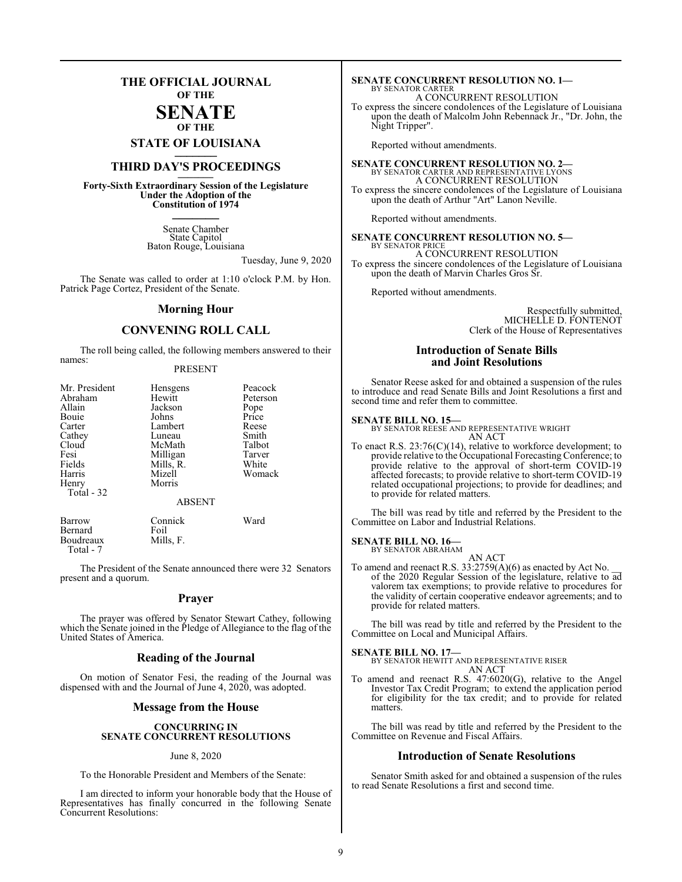## **THE OFFICIAL JOURNAL OF THE**

### **SENATE OF THE**

**STATE OF LOUISIANA \_\_\_\_\_\_\_**

## **THIRD DAY'S PROCEEDINGS \_\_\_\_\_\_\_**

**Forty-Sixth Extraordinary Session of the Legislature Under the Adoption of the Constitution of 1974 \_\_\_\_\_\_\_**

> Senate Chamber State Capitol Baton Rouge, Louisiana

> > Tuesday, June 9, 2020

The Senate was called to order at 1:10 o'clock P.M. by Hon. Patrick Page Cortez, President of the Senate.

### **Morning Hour**

### **CONVENING ROLL CALL**

The roll being called, the following members answered to their names:

### PRESENT

| Mr. President | Hensgens      | Peacock  |
|---------------|---------------|----------|
| Abraham       | Hewitt        | Peterson |
| Allain        | Jackson       | Pope     |
| Bouie         | Johns         | Price    |
| Carter        | Lambert       | Reese    |
| Cathey        | Luneau        | Smith    |
| Cloud         | McMath        | Talbot   |
| Fesi          | Milligan      | Tarver   |
| Fields        | Mills, R.     | White    |
| Harris        | Mizell        | Womack   |
| Henry         | Morris        |          |
| Total - 32    |               |          |
|               | <b>ABSENT</b> |          |
| Barrow        | Connick       | Ward     |
| Bernard       | Foil          |          |
| Boudreaux     | Mills, F.     |          |

Boudreaux Total - 7

The President of the Senate announced there were 32 Senators present and a quorum.

### **Prayer**

The prayer was offered by Senator Stewart Cathey, following which the Senate joined in the Pledge of Allegiance to the flag of the United States of America.

### **Reading of the Journal**

On motion of Senator Fesi, the reading of the Journal was dispensed with and the Journal of June 4, 2020, was adopted.

### **Message from the House**

### **CONCURRING IN SENATE CONCURRENT RESOLUTIONS**

### June 8, 2020

To the Honorable President and Members of the Senate:

I am directed to inform your honorable body that the House of Representatives has finally concurred in the following Senate Concurrent Resolutions:

### **SENATE CONCURRENT RESOLUTION NO. 1—** BY SENATOR CARTER A CONCURRENT RESOLUTION

To express the sincere condolences of the Legislature of Louisiana upon the death of Malcolm John Rebennack Jr., "Dr. John, the Night Tripper".

Reported without amendments.

**SENATE CONCURRENT RESOLUTION NO. 2—**<br>BY SENATOR CARTER AND REPRESENTATIVE LYONS<br>A CONCURRENT RESOLUTION To express the sincere condolences of the Legislature of Louisiana

Reported without amendments.

**SENATE CONCURRENT RESOLUTION NO. 5—** BY SENATOR PRICE

upon the death of Arthur "Art" Lanon Neville.

A CONCURRENT RESOLUTION To express the sincere condolences of the Legislature of Louisiana upon the death of Marvin Charles Gros Sr.

Reported without amendments.

Respectfully submitted, MICHELLE D. FONTENOT Clerk of the House of Representatives

### **Introduction of Senate Bills and Joint Resolutions**

Senator Reese asked for and obtained a suspension of the rules to introduce and read Senate Bills and Joint Resolutions a first and second time and refer them to committee.

### **SENATE BILL NO. 15—**

BY SENATOR REESE AND REPRESENTATIVE WRIGHT AN ACT

To enact R.S. 23:76(C)(14), relative to workforce development; to provide relative to the Occupational Forecasting Conference; to provide relative to the approval of short-term COVID-19 affected forecasts; to provide relative to short-term COVID-19 related occupational projections; to provide for deadlines; and to provide for related matters.

The bill was read by title and referred by the President to the Committee on Labor and Industrial Relations.

### **SENATE BILL NO. 16—** BY SENATOR ABRAHAM

- AN ACT
- To amend and reenact R.S.  $33:2759(A)(6)$  as enacted by Act No. of the 2020 Regular Session of the legislature, relative to ad valorem tax exemptions; to provide relative to procedures for the validity of certain cooperative endeavor agreements; and to provide for related matters.

The bill was read by title and referred by the President to the Committee on Local and Municipal Affairs.

**SENATE BILL NO. 17—** BY SENATOR HEWITT AND REPRESENTATIVE RISER AN ACT

To amend and reenact R.S. 47:6020(G), relative to the Angel Investor Tax Credit Program; to extend the application period for eligibility for the tax credit; and to provide for related matters.

The bill was read by title and referred by the President to the Committee on Revenue and Fiscal Affairs.

### **Introduction of Senate Resolutions**

Senator Smith asked for and obtained a suspension of the rules to read Senate Resolutions a first and second time.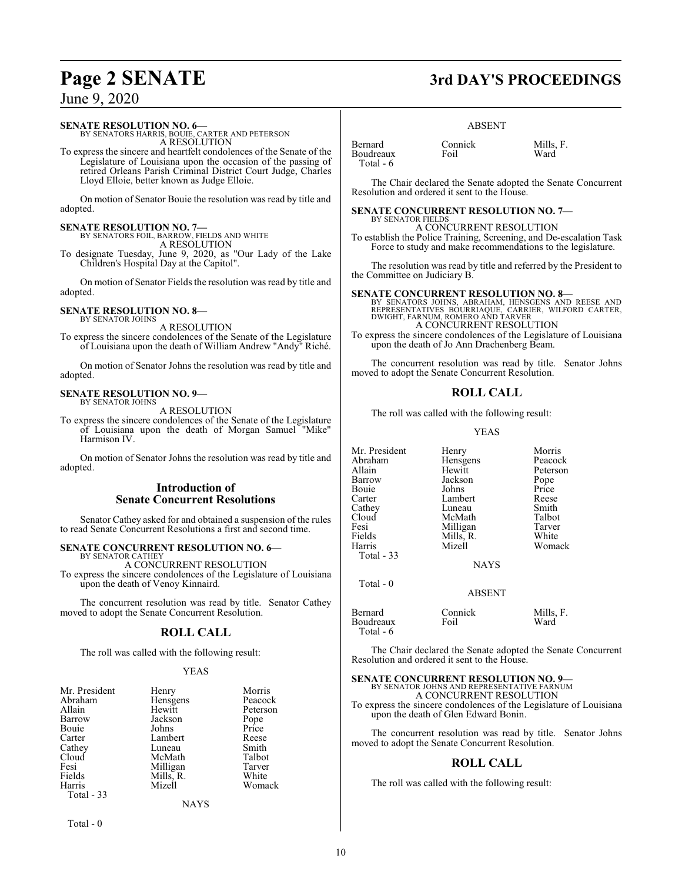### **SENATE RESOLUTION NO. 6—**

BY SENATORS HARRIS, BOUIE, CARTER AND PETERSON A RESOLUTION

To express the sincere and heartfelt condolences of the Senate of the Legislature of Louisiana upon the occasion of the passing of retired Orleans Parish Criminal District Court Judge, Charles Lloyd Elloie, better known as Judge Elloie.

On motion of Senator Bouie the resolution was read by title and adopted.

**SENATE RESOLUTION NO. 7—**<br>BY SENATORS FOIL, BARROW, FIELDS AND WHITE A RESOLUTION

To designate Tuesday, June 9, 2020, as "Our Lady of the Lake Children's Hospital Day at the Capitol".

On motion of Senator Fields the resolution was read by title and adopted.

### **SENATE RESOLUTION NO. 8—** BY SENATOR JOHNS

A RESOLUTION

To express the sincere condolences of the Senate of the Legislature of Louisiana upon the death of William Andrew "Andy" Riché.

On motion of Senator Johns the resolution was read by title and adopted.

### **SENATE RESOLUTION NO. 9—** BY SENATOR JOHNS

A RESOLUTION

To express the sincere condolences of the Senate of the Legislature of Louisiana upon the death of Morgan Samuel "Mike" Harmison IV.

On motion of Senator Johns the resolution was read by title and adopted.

### **Introduction of Senate Concurrent Resolutions**

Senator Cathey asked for and obtained a suspension of the rules to read Senate Concurrent Resolutions a first and second time.

### **SENATE CONCURRENT RESOLUTION NO. 6—** BY SENATOR CATHEY

A CONCURRENT RESOLUTION To express the sincere condolences of the Legislature of Louisiana upon the death of Venoy Kinnaird.

The concurrent resolution was read by title. Senator Cathey moved to adopt the Senate Concurrent Resolution.

### **ROLL CALL**

The roll was called with the following result:

### YEAS

| Mr. President | Henry     | Morris        |
|---------------|-----------|---------------|
| Abraham       | Hensgens  | Peacock       |
| Allain        | Hewitt    | Peterson      |
| Barrow        | Jackson   | Pope<br>Price |
| Bouie         | Johns     |               |
| Carter        | Lambert   | Reese         |
| Cathey        | Luneau    | Smith         |
| Cloud         | McMath    | Talbot        |
| Fesi          | Milligan  | Tarver        |
| Fields        | Mills, R. | White         |
| Harris        | Mizell    | Womack        |
| Total - 33    |           |               |

NAYS

Total - 0

# **Page 2 SENATE 3rd DAY'S PROCEEDINGS**

### ABSENT

| <b>Bernard</b> | Connick | Mills. F. |
|----------------|---------|-----------|
| Boudreaux      | Foil    | Ward      |
| Total - 6      |         |           |

The Chair declared the Senate adopted the Senate Concurrent Resolution and ordered it sent to the House.

### **SENATE CONCURRENT RESOLUTION NO. 7—**

BY SENATOR FIELDS A CONCURRENT RESOLUTION To establish the Police Training, Screening, and De-escalation Task Force to study and make recommendations to the legislature.

The resolution was read by title and referred by the President to the Committee on Judiciary B.

### **SENATE CONCURRENT RESOLUTION NO. 8—**

BY SENATORS JOHNS, ABRAHAM, HENSGENS AND REESE AND<br>REPRESENTATIVES BOURRIAQUE, CARRIER, WILFORD CARTER,<br>DWIGHT,FARNUM,ROMERO AND TARVER A CONCURRENT RESOLUTION

To express the sincere condolences of the Legislature of Louisiana upon the death of Jo Ann Drachenberg Beam.

The concurrent resolution was read by title. Senator Johns moved to adopt the Senate Concurrent Resolution.

### **ROLL CALL**

The roll was called with the following result:

### YEAS

| Mr. President | Henry         | Morris    |
|---------------|---------------|-----------|
| Abraham       | Hensgens      | Peacock   |
| Allain        | Hewitt        | Peterson  |
| Barrow        | Jackson       | Pope      |
| Bouie         | Johns         | Price     |
| Carter        | Lambert       | Reese     |
| Cathey        | Luneau        | Smith     |
| Cloud         | McMath        | Talbot    |
| Fesi          | Milligan      | Tarver    |
| Fields        | Mills, R.     | White     |
| Harris        | Mizell        | Womack    |
| Total $-33$   |               |           |
|               | <b>NAYS</b>   |           |
| Total $-0$    |               |           |
|               | <b>ABSENT</b> |           |
| Bernard       | Connick       | Mills, F. |
| Boudreaux     | Foil          | Ward      |

The Chair declared the Senate adopted the Senate Concurrent Resolution and ordered it sent to the House.

## **SENATE CONCURRENT RESOLUTION NO. 9—**

BY SENATOR JOHNS AND REPRESENTATIVE FARNUM A CONCURRENT RESOLUTION

To express the sincere condolences of the Legislature of Louisiana upon the death of Glen Edward Bonin.

The concurrent resolution was read by title. Senator Johns moved to adopt the Senate Concurrent Resolution.

### **ROLL CALL**

The roll was called with the following result:

Total - 6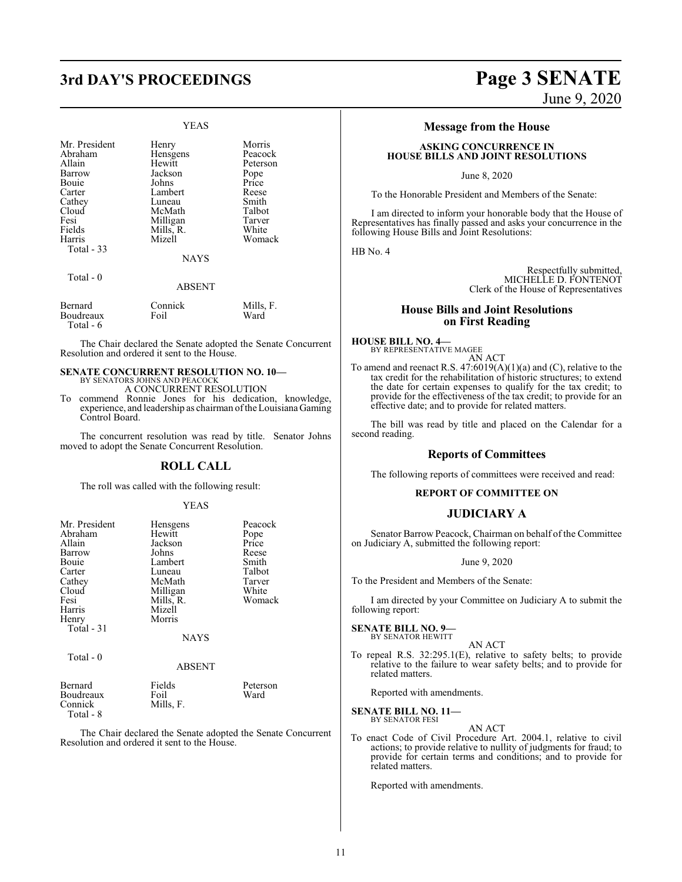# **3rd DAY'S PROCEEDINGS Page 3 SENATE**

### YEAS

| Mr. President     | Henry         | Morris          |
|-------------------|---------------|-----------------|
| Abraham           | Hensgens      | Peacock         |
| Allain            | Hewitt        | Peterson        |
| Barrow            | Jackson       | Pope            |
| Bouie             | Johns         | Price           |
| Carter            | Lambert       | Reese           |
| Cathey            | Luneau        | Smith           |
| Cloud             | McMath        | Talbot          |
| Fesi              | Milligan      | Tarver          |
| Fields            | Mills, R.     | White           |
| Harris            | Mizell        | Womack          |
| <b>Total - 33</b> |               |                 |
|                   | <b>NAYS</b>   |                 |
| Total - 0         |               |                 |
|                   | <b>ABSENT</b> |                 |
| $D = 1$           | $C = 1$       | <b>MA:11.</b> E |

| Bernard   | Connick | Mills, F. |
|-----------|---------|-----------|
| Boudreaux | Foil    | Ward      |
| Total - 6 |         |           |

The Chair declared the Senate adopted the Senate Concurrent Resolution and ordered it sent to the House.

## **SENATE CONCURRENT RESOLUTION NO. 10—** BY SENATORS JOHNS AND PEACOCK A CONCURRENT RESOLUTION

To commend Ronnie Jones for his dedication, knowledge, experience, and leadership as chairman ofthe Louisiana Gaming Control Board.

The concurrent resolution was read by title. Senator Johns moved to adopt the Senate Concurrent Resolution.

### **ROLL CALL**

The roll was called with the following result:

### YEAS

| Mr. President<br>Abraham | Hensgens<br>Hewitt | Peacock<br>Pope  |
|--------------------------|--------------------|------------------|
| Allain                   | Jackson            | Price            |
| Barrow                   | Johns              | Reese            |
| Bouie                    | Lambert            | Smith            |
| Carter                   | Luneau             | Talbot           |
| Cathey                   | McMath             | Tarver           |
| Cloud                    | Milligan           | White            |
| Fesi                     | Mills, R.          | Womack           |
| Harris                   | Mizell             |                  |
| Henry                    | Morris             |                  |
| Total - 31               |                    |                  |
|                          | <b>NAYS</b>        |                  |
| Total $-0$               |                    |                  |
|                          | ABSENT             |                  |
| Bernard<br>Boudreaux     | Fields<br>Foil     | Peterson<br>Ward |

Connick Mills, F. Total - 8

The Chair declared the Senate adopted the Senate Concurrent Resolution and ordered it sent to the House.

# June 9, 2020

### **Message from the House**

### **ASKING CONCURRENCE IN HOUSE BILLS AND JOINT RESOLUTIONS**

June 8, 2020

To the Honorable President and Members of the Senate:

I am directed to inform your honorable body that the House of Representatives has finally passed and asks your concurrence in the following House Bills and Joint Resolutions:

HB No. 4

Respectfully submitted, MICHELLE D. FONTENOT Clerk of the House of Representatives

### **House Bills and Joint Resolutions on First Reading**

**HOUSE BILL NO. 4—** BY REPRESENTATIVE MAGEE

AN ACT To amend and reenact R.S.  $47:6019(A)(1)(a)$  and (C), relative to the tax credit for the rehabilitation of historic structures; to extend the date for certain expenses to qualify for the tax credit; to provide for the effectiveness of the tax credit; to provide for an effective date; and to provide for related matters.

The bill was read by title and placed on the Calendar for a second reading.

### **Reports of Committees**

The following reports of committees were received and read:

### **REPORT OF COMMITTEE ON**

### **JUDICIARY A**

Senator Barrow Peacock, Chairman on behalf of the Committee on Judiciary A, submitted the following report:

### June 9, 2020

To the President and Members of the Senate:

I am directed by your Committee on Judiciary A to submit the following report:

### **SENATE BILL NO. 9—**

BY SENATOR HEWITT AN ACT

To repeal R.S. 32:295.1(E), relative to safety belts; to provide relative to the failure to wear safety belts; and to provide for related matters.

Reported with amendments.

### **SENATE BILL NO. 11—** BY SENATOR FESI

AN ACT

To enact Code of Civil Procedure Art. 2004.1, relative to civil actions; to provide relative to nullity of judgments for fraud; to provide for certain terms and conditions; and to provide for related matters.

Reported with amendments.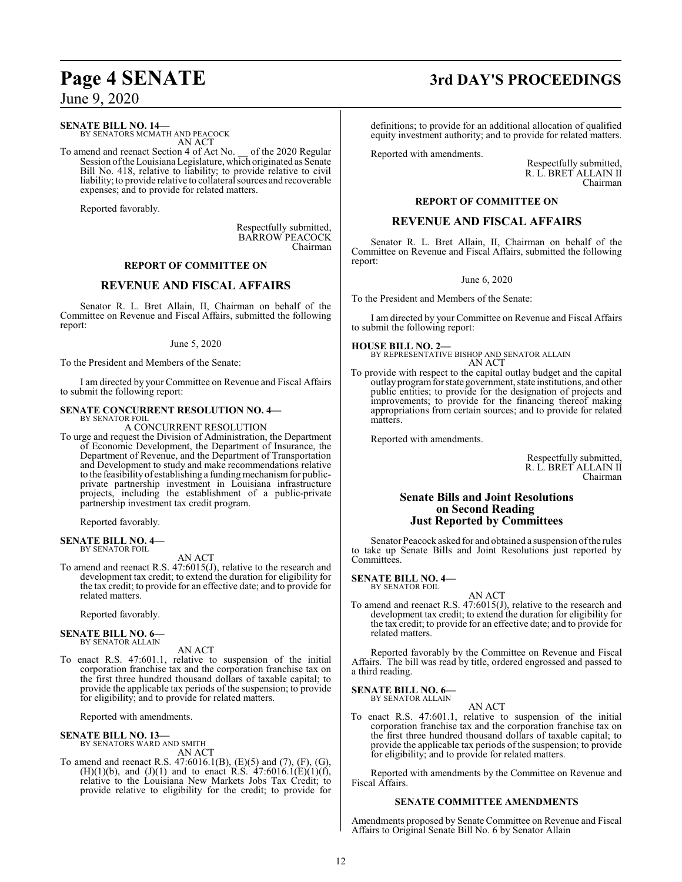### **SENATE BILL NO. 14—**

BY SENATORS MCMATH AND PEACOCK AN ACT

To amend and reenact Section 4 of Act No. \_\_ of the 2020 Regular Session ofthe LouisianaLegislature, which originated as Senate Bill No. 418, relative to liability; to provide relative to civil liability; to provide relative to collateral sources and recoverable expenses; and to provide for related matters.

Reported favorably.

Respectfully submitted, BARROW PEACOCK Chairman

### **REPORT OF COMMITTEE ON**

### **REVENUE AND FISCAL AFFAIRS**

Senator R. L. Bret Allain, II, Chairman on behalf of the Committee on Revenue and Fiscal Affairs, submitted the following report:

### June 5, 2020

To the President and Members of the Senate:

I am directed by your Committee on Revenue and Fiscal Affairs to submit the following report:

### **SENATE CONCURRENT RESOLUTION NO. 4—**

BY SENATOR FOIL A CONCURRENT RESOLUTION

To urge and request the Division of Administration, the Department of Economic Development, the Department of Insurance, the Department of Revenue, and the Department of Transportation and Development to study and make recommendations relative to the feasibility of establishing a funding mechanism for publicprivate partnership investment in Louisiana infrastructure projects, including the establishment of a public-private partnership investment tax credit program.

Reported favorably.

### **SENATE BILL NO. 4—** BY SENATOR FOIL

AN ACT

To amend and reenact R.S. 47:6015(J), relative to the research and development tax credit; to extend the duration for eligibility for the tax credit; to provide for an effective date; and to provide for related matters.

Reported favorably.

### **SENATE BILL NO. 6—** BY SENATOR ALLAIN

AN ACT

To enact R.S. 47:601.1, relative to suspension of the initial corporation franchise tax and the corporation franchise tax on the first three hundred thousand dollars of taxable capital; to provide the applicable tax periods of the suspension; to provide for eligibility; and to provide for related matters.

Reported with amendments.

## **SENATE BILL NO. 13—** BY SENATORS WARD AND SMITH

AN ACT

To amend and reenact R.S. 47:6016.1(B), (E)(5) and (7), (F), (G), (H)(1)(b), and (J)(1) and to enact R.S.  $47:6016.1(E)(1)(f)$ , relative to the Louisiana New Markets Jobs Tax Credit; to provide relative to eligibility for the credit; to provide for

## **Page 4 SENATE 3rd DAY'S PROCEEDINGS**

definitions; to provide for an additional allocation of qualified equity investment authority; and to provide for related matters.

Reported with amendments.

Respectfully submitted, R. L. BRET ALLAIN II Chairman

### **REPORT OF COMMITTEE ON**

### **REVENUE AND FISCAL AFFAIRS**

Senator R. L. Bret Allain, II, Chairman on behalf of the Committee on Revenue and Fiscal Affairs, submitted the following report:

### June 6, 2020

To the President and Members of the Senate:

I am directed by your Committee on Revenue and Fiscal Affairs to submit the following report:

**HOUSE BILL NO. 2—** BY REPRESENTATIVE BISHOP AND SENATOR ALLAIN

AN ACT To provide with respect to the capital outlay budget and the capital outlay programfor state government, state institutions, and other public entities; to provide for the designation of projects and improvements; to provide for the financing thereof making appropriations from certain sources; and to provide for related matters.

Reported with amendments.

Respectfully submitted, R. L. BRET ALLAIN II Chairman

### **Senate Bills and Joint Resolutions on Second Reading Just Reported by Committees**

Senator Peacock asked for and obtained a suspension ofthe rules to take up Senate Bills and Joint Resolutions just reported by Committees.

### **SENATE BILL NO. 4—** BY SENATOR FOIL

AN ACT To amend and reenact R.S. 47:6015(J), relative to the research and development tax credit; to extend the duration for eligibility for the tax credit; to provide for an effective date; and to provide for related matters.

Reported favorably by the Committee on Revenue and Fiscal Affairs. The bill was read by title, ordered engrossed and passed to a third reading.

### **SENATE BILL NO. 6—**

BY SENATOR ALLAIN AN ACT

To enact R.S. 47:601.1, relative to suspension of the initial corporation franchise tax and the corporation franchise tax on the first three hundred thousand dollars of taxable capital; to provide the applicable tax periods of the suspension; to provide for eligibility; and to provide for related matters.

Reported with amendments by the Committee on Revenue and Fiscal Affairs.

### **SENATE COMMITTEE AMENDMENTS**

Amendments proposed by Senate Committee on Revenue and Fiscal Affairs to Original Senate Bill No. 6 by Senator Allain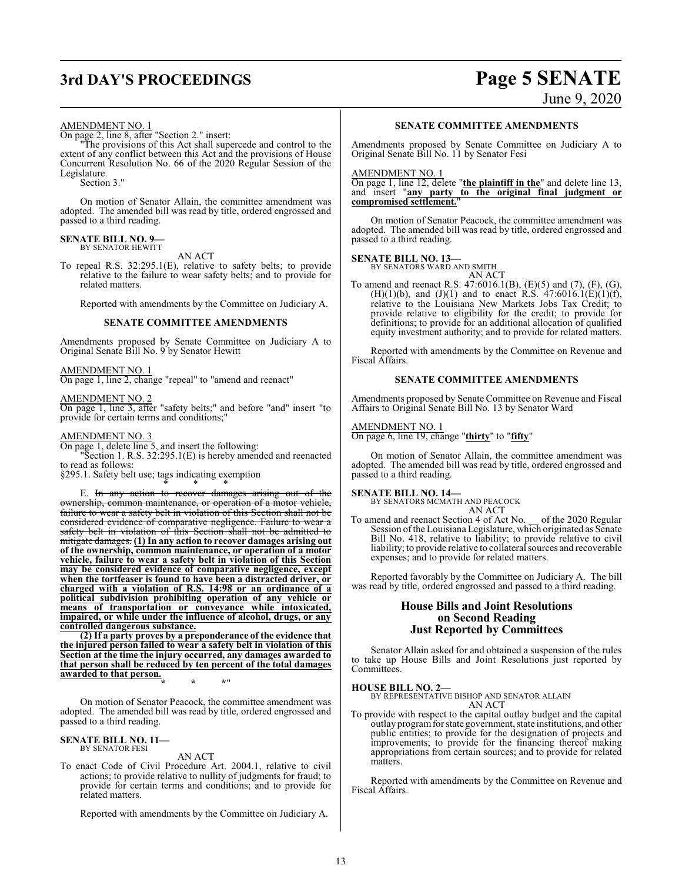## **3rd DAY'S PROCEEDINGS Page 5 SENATE** June 9, 2020

## AMENDMENT NO. 1

On page 2, line 8, after "Section 2." insert:

"The provisions of this Act shall supercede and control to the extent of any conflict between this Act and the provisions of House Concurrent Resolution No. 66 of the 2020 Regular Session of the Legislature.

Section 3."

On motion of Senator Allain, the committee amendment was adopted. The amended bill was read by title, ordered engrossed and passed to a third reading.

### **SENATE BILL NO. 9—** BY SENATOR HEWITT

AN ACT

To repeal R.S. 32:295.1(E), relative to safety belts; to provide relative to the failure to wear safety belts; and to provide for related matters.

Reported with amendments by the Committee on Judiciary A.

### **SENATE COMMITTEE AMENDMENTS**

Amendments proposed by Senate Committee on Judiciary A to Original Senate Bill No. 9 by Senator Hewitt

### AMENDMENT NO. 1

On page 1, line 2, change "repeal" to "amend and reenact"

## AMENDMENT NO. 2

On page 1, line 3, after "safety belts;" and before "and" insert "to provide for certain terms and conditions;"

### AMENDMENT NO. 3

On page 1, delete line 5, and insert the following: "Section 1. R.S. 32:295.1(E) is hereby amended and reenacted to read as follows:

§295.1. Safety belt use; tags indicating exemption \* \* \*

E. In any action to recover damages arising out of the ownership, common maintenance, or operation of a motor vehicle, failure to wear a safety belt in violation of this Section shall not be considered evidence of comparative negligence. Failure to wear a safety belt in violation of this Section shall not be admitted to mitigate damages. **(1) In any action to recover damages arising out of the ownership, common maintenance, or operation of a motor vehicle, failure to wear a safety belt in violation of this Section may be considered evidence of comparative negligence, except when the tortfeaser is found to have been a distracted driver, or charged with a violation of R.S. 14:98 or an ordinance of a political subdivision prohibiting operation of any vehicle or means of transportation or conveyance while intoxicated, impaired, or while under the influence of alcohol, drugs, or any controlled dangerous substance.**

**(2) If a party proves by a preponderance of the evidence that the injured person failed to wear a safety belt in violation of this Section at the time the injury occurred, any damages awarded to that person shall be reduced by ten percent of the total damages awarded to that person. \* \* \***"

On motion of Senator Peacock, the committee amendment was adopted. The amended bill was read by title, ordered engrossed and passed to a third reading.

### **SENATE BILL NO. 11—** BY SENATOR FESI

### AN ACT

To enact Code of Civil Procedure Art. 2004.1, relative to civil actions; to provide relative to nullity of judgments for fraud; to provide for certain terms and conditions; and to provide for related matters.

Reported with amendments by the Committee on Judiciary A.

### **SENATE COMMITTEE AMENDMENTS**

Amendments proposed by Senate Committee on Judiciary A to Original Senate Bill No. 11 by Senator Fesi

### AMENDMENT NO. 1

On page 1, line 12, delete "**the plaintiff in the**" and delete line 13, and insert "**any party to the original final judgment or compromised settlement.**"

On motion of Senator Peacock, the committee amendment was adopted. The amended bill was read by title, ordered engrossed and passed to a third reading.

### **SENATE BILL NO. 13—**

BY SENATORS WARD AND SMITH AN ACT

To amend and reenact R.S. 47:6016.1(B), (E)(5) and (7), (F), (G), (H)(1)(b), and (J)(1) and to enact R.S.  $47:6016.1(E)(1)(f)$ , relative to the Louisiana New Markets Jobs Tax Credit; to provide relative to eligibility for the credit; to provide for definitions; to provide for an additional allocation of qualified equity investment authority; and to provide for related matters.

Reported with amendments by the Committee on Revenue and Fiscal Affairs.

### **SENATE COMMITTEE AMENDMENTS**

Amendments proposed by Senate Committee on Revenue and Fiscal Affairs to Original Senate Bill No. 13 by Senator Ward

### AMENDMENT NO. 1

On page 6, line 19, change "**thirty**" to "**fifty**"

On motion of Senator Allain, the committee amendment was adopted. The amended bill was read by title, ordered engrossed and passed to a third reading.

### **SENATE BILL NO. 14—**

BY SENATORS MCMATH AND PEACOCK AN ACT

To amend and reenact Section 4 of Act No. \_\_ of the 2020 Regular Session ofthe Louisiana Legislature, which originated as Senate Bill No. 418, relative to liability; to provide relative to civil liability; to provide relative to collateral sources and recoverable expenses; and to provide for related matters.

Reported favorably by the Committee on Judiciary A. The bill was read by title, ordered engrossed and passed to a third reading.

### **House Bills and Joint Resolutions on Second Reading Just Reported by Committees**

Senator Allain asked for and obtained a suspension of the rules to take up House Bills and Joint Resolutions just reported by Committees.

### **HOUSE BILL NO. 2—**

BY REPRESENTATIVE BISHOP AND SENATOR ALLAIN AN ACT

To provide with respect to the capital outlay budget and the capital outlay programfor state government, state institutions, and other public entities; to provide for the designation of projects and improvements; to provide for the financing thereof making appropriations from certain sources; and to provide for related matters.

Reported with amendments by the Committee on Revenue and Fiscal Affairs.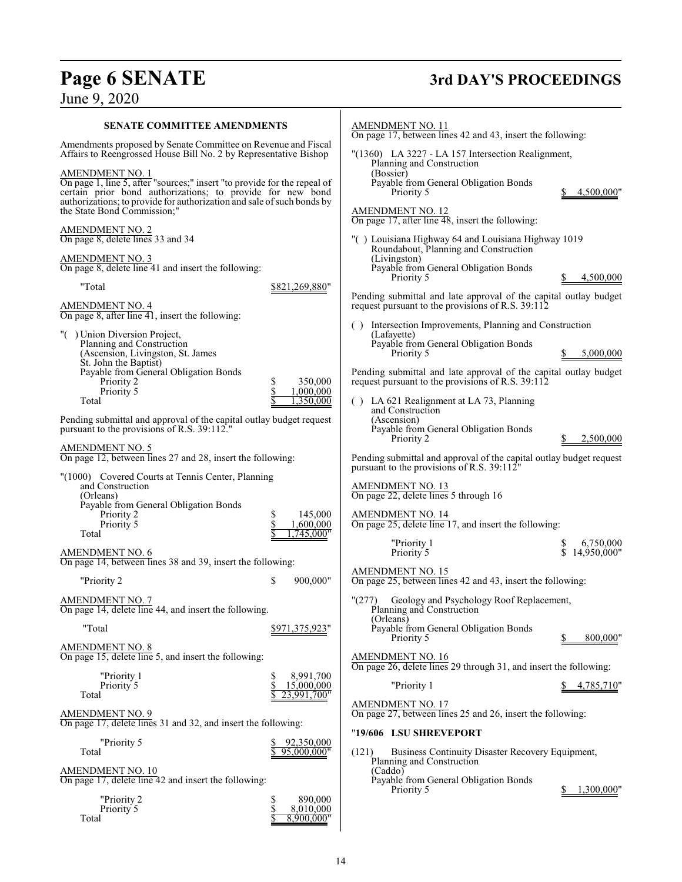# Page 6 SENATE<br>June 9, 2020

# **3rd DAY'S PROCEEDINGS**

| <b>SENATE COMMITTEE AMENDMENTS</b>                                                                                                                                                                                                                                        |                                                   | AMENDMENT NO. 11<br>On page 17, between lines 42 and 43, insert the following:                                                                                    |
|---------------------------------------------------------------------------------------------------------------------------------------------------------------------------------------------------------------------------------------------------------------------------|---------------------------------------------------|-------------------------------------------------------------------------------------------------------------------------------------------------------------------|
| Amendments proposed by Senate Committee on Revenue and Fiscal<br>Affairs to Reengrossed House Bill No. 2 by Representative Bishop                                                                                                                                         |                                                   | "(1360) LA 3227 - LA 157 Intersection Realignment,<br>Planning and Construction                                                                                   |
| <b>AMENDMENT NO. 1</b><br>On page 1, line 5, after "sources;" insert "to provide for the repeal of<br>certain prior bond authorizations; to provide for new bond<br>authorizations; to provide for authorization and sale of such bonds by<br>the State Bond Commission;" |                                                   | (Bossier)<br>Payable from General Obligation Bonds<br>Priority 5<br>4,500,000"<br><b>AMENDMENT NO. 12</b>                                                         |
| AMENDMENT NO. 2<br>On page 8, delete lines 33 and 34                                                                                                                                                                                                                      |                                                   | On page 17, after line 48, insert the following:<br>"() Louisiana Highway 64 and Louisiana Highway 1019                                                           |
| <b>AMENDMENT NO. 3</b><br>On page 8, delete line 41 and insert the following:                                                                                                                                                                                             |                                                   | Roundabout, Planning and Construction<br>(Livingston)<br>Payable from General Obligation Bonds                                                                    |
| "Total                                                                                                                                                                                                                                                                    | \$821,269,880"                                    | 4,500,000<br>Priority 5                                                                                                                                           |
| <b>AMENDMENT NO. 4</b><br>On page 8, after line 41, insert the following:                                                                                                                                                                                                 |                                                   | Pending submittal and late approval of the capital outlay budget<br>request pursuant to the provisions of R.S. 39:112                                             |
| "() Union Diversion Project,<br>Planning and Construction<br>(Ascension, Livingston, St. James<br>St. John the Baptist)                                                                                                                                                   |                                                   | () Intersection Improvements, Planning and Construction<br>(Lafayette)<br>Payable from General Obligation Bonds<br>Priority 5<br>5,000,000                        |
| Payable from General Obligation Bonds<br>Priority 2<br>Priority 5<br>Total                                                                                                                                                                                                | \$<br>350,000<br>\$<br>1.000.000<br>1,350,000     | Pending submittal and late approval of the capital outlay budget<br>request pursuant to the provisions of R.S. 39:112<br>() LA 621 Realignment at LA 73, Planning |
| Pending submittal and approval of the capital outlay budget request<br>pursuant to the provisions of R.S. 39:112."                                                                                                                                                        |                                                   | and Construction<br>(Ascension)<br>Payable from General Obligation Bonds<br>2,500,000<br>Priority 2                                                               |
| <b>AMENDMENT NO. 5</b><br>On page 12, between lines 27 and 28, insert the following:                                                                                                                                                                                      |                                                   | Pending submittal and approval of the capital outlay budget request<br>pursuant to the provisions of R.S. 39:112"                                                 |
| "(1000) Covered Courts at Tennis Center, Planning<br>and Construction<br>(Orleans)                                                                                                                                                                                        |                                                   | AMENDMENT NO. 13<br>On page 22, delete lines 5 through 16                                                                                                         |
| Payable from General Obligation Bonds<br>Priority 2<br>Priority 5<br>Total                                                                                                                                                                                                | 145,000<br>\$<br>\$<br>1,600,000<br>1,745,000"    | <b>AMENDMENT NO. 14</b><br>On page 25, delete line 17, and insert the following:                                                                                  |
| <b>AMENDMENT NO. 6</b>                                                                                                                                                                                                                                                    |                                                   | "Priority 1<br>6,750,000<br>Priority 5<br>\$14,950,000"                                                                                                           |
| On page 14, between lines 38 and 39, insert the following:                                                                                                                                                                                                                |                                                   | <b>AMENDMENT NO. 15</b>                                                                                                                                           |
| "Priority 2                                                                                                                                                                                                                                                               | \$<br>900,000"                                    | On page 25, between lines 42 and 43, insert the following:                                                                                                        |
| <b>AMENDMENT NO. 7</b><br>On page 14, delete line 44, and insert the following.                                                                                                                                                                                           |                                                   | Geology and Psychology Roof Replacement,<br>"(277)<br>Planning and Construction<br>(Orleans)                                                                      |
| "Total                                                                                                                                                                                                                                                                    | \$971,375,923"                                    | Payable from General Obligation Bonds<br>800,000"<br>Priority 5                                                                                                   |
| <b>AMENDMENT NO. 8</b><br>On page 15, delete line 5, and insert the following:                                                                                                                                                                                            |                                                   | <b>AMENDMENT NO. 16</b><br>On page 26, delete lines 29 through 31, and insert the following:                                                                      |
| "Priority 1<br>Priority 5<br>Total                                                                                                                                                                                                                                        | 8,991,700<br>S<br>\$<br>15,000,000<br>23,991,700" | "Priority 1<br>4,785,710"                                                                                                                                         |
| <b>AMENDMENT NO. 9</b><br>On page 17, delete lines 31 and 32, and insert the following:                                                                                                                                                                                   |                                                   | <b>AMENDMENT NO. 17</b><br>On page 27, between lines 25 and 26, insert the following:                                                                             |
| "Priority 5                                                                                                                                                                                                                                                               | 92,350,000                                        | "19/606 LSU SHREVEPORT                                                                                                                                            |
| Total                                                                                                                                                                                                                                                                     | 95,000,000"                                       | (121)<br>Business Continuity Disaster Recovery Equipment,<br>Planning and Construction                                                                            |
| AMENDMENT NO. 10<br>On page 17, delete line 42 and insert the following:                                                                                                                                                                                                  |                                                   | (Caddo)<br>Payable from General Obligation Bonds<br>Priority 5<br>1,300,000"                                                                                      |
| "Priority 2<br>Priority 5<br>Total                                                                                                                                                                                                                                        | \$<br>890,000<br>\$<br>8,010,000<br>8,900,000"    |                                                                                                                                                                   |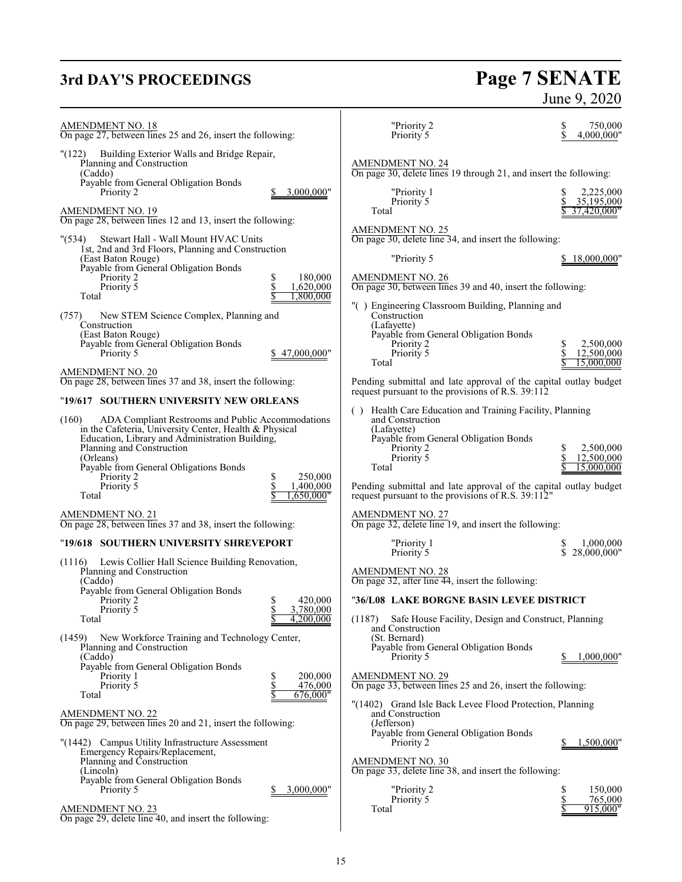# **3rd DAY'S PROCEEDINGS Page 7 SENATE** June 9, 2020

| <b>AMENDMENT NO. 18</b><br>On page 27, between lines 25 and 26, insert the following:                                                                                                                                                                                                                                      | "Priority 2<br>Priority 5                                                                                                                                                         | \$<br>750,000<br>\$<br>4,000,000"                |
|----------------------------------------------------------------------------------------------------------------------------------------------------------------------------------------------------------------------------------------------------------------------------------------------------------------------------|-----------------------------------------------------------------------------------------------------------------------------------------------------------------------------------|--------------------------------------------------|
| Building Exterior Walls and Bridge Repair,<br>(122)<br>Planning and Construction<br>(Caddo)<br>Payable from General Obligation Bonds                                                                                                                                                                                       | <b>AMENDMENT NO. 24</b><br>On page 30, delete lines 19 through 21, and insert the following:                                                                                      |                                                  |
| Priority 2<br>3,000,000"<br><b>AMENDMENT NO. 19</b><br>On page 28, between lines 12 and 13, insert the following:                                                                                                                                                                                                          | "Priority 1<br>Priority 5<br>Total                                                                                                                                                | 2,225,000<br>35,195,000<br>37,420,000"           |
| Stewart Hall - Wall Mount HVAC Units<br>" (534)<br>1st, 2nd and 3rd Floors, Planning and Construction<br>(East Baton Rouge)<br>Payable from General Obligation Bonds                                                                                                                                                       | <b>AMENDMENT NO. 25</b><br>On page 30, delete line 34, and insert the following:<br>"Priority 5                                                                                   | 18,000,000"                                      |
| 180,000<br>Priority 2<br>\$<br>\$<br>Priority 5<br>1,620,000<br>Total<br>1,800,000                                                                                                                                                                                                                                         | <b>AMENDMENT NO. 26</b><br>On page 30, between lines 39 and 40, insert the following:<br>"() Engineering Classroom Building, Planning and                                         |                                                  |
| New STEM Science Complex, Planning and<br>(757)<br>Construction<br>(East Baton Rouge)<br>Payable from General Obligation Bonds<br>47,000,000"<br>Priority 5                                                                                                                                                                | Construction<br>(Lafayette)<br>Payable from General Obligation Bonds<br>Priority 2<br>Priority 5<br>Total                                                                         | 2.500,000<br>S<br>\$<br>12,500,000<br>15,000,000 |
| AMENDMENT NO. 20<br>On page 28, between lines 37 and 38, insert the following:                                                                                                                                                                                                                                             | Pending submittal and late approval of the capital outlay budget<br>request pursuant to the provisions of R.S. 39:112                                                             |                                                  |
| "19/617 SOUTHERN UNIVERSITY NEW ORLEANS                                                                                                                                                                                                                                                                                    | () Health Care Education and Training Facility, Planning                                                                                                                          |                                                  |
| (160)<br>ADA Compliant Restrooms and Public Accommodations<br>in the Cafeteria, University Center, Health & Physical<br>Education, Library and Administration Building,<br>Planning and Construction<br>(Orleans)<br>Payable from General Obligations Bonds<br>250,000<br>Priority 2<br>S<br>Priority 5<br>\$<br>1,400,000 | and Construction<br>(Lafayette)<br>Payable from General Obligation Bonds<br>Priority 2<br>Priority 5<br>Total<br>Pending submittal and late approval of the capital outlay budget | 2,500,000<br>S<br>\$<br>12,500,000<br>15,000,000 |
| ,650,000"<br>Total                                                                                                                                                                                                                                                                                                         | request pursuant to the provisions of R.S. 39:112"                                                                                                                                |                                                  |
| <b>AMENDMENT NO. 21</b><br>On page 28, between lines 37 and 38, insert the following:                                                                                                                                                                                                                                      | <b>AMENDMENT NO. 27</b><br>On page 32, delete line 19, and insert the following:                                                                                                  |                                                  |
| "19/618 SOUTHERN UNIVERSITY SHREVEPORT                                                                                                                                                                                                                                                                                     | "Priority 1<br>Priority 5                                                                                                                                                         | 1,000,000<br>S<br>\$<br>28,000,000"              |
| Lewis Collier Hall Science Building Renovation,<br>(1116)<br>Planning and Construction<br>(Caddo)<br>Payable from General Obligation Bonds                                                                                                                                                                                 | <b>AMENDMENT NO. 28</b><br>On page 32, after line 44, insert the following:                                                                                                       |                                                  |
| \$<br>420,000<br>Priority 2<br>3,780,000                                                                                                                                                                                                                                                                                   | "36/L08 LAKE BORGNE BASIN LEVEE DISTRICT                                                                                                                                          |                                                  |
| Priority 5<br>Φ<br>Total<br>4,200,000<br>New Workforce Training and Technology Center,<br>(1459)                                                                                                                                                                                                                           | Safe House Facility, Design and Construct, Planning<br>(1187)<br>and Construction<br>(St. Bernard)                                                                                |                                                  |
| Planning and Construction<br>(Caddo)<br>Payable from General Obligation Bonds                                                                                                                                                                                                                                              | Payable from General Obligation Bonds<br>Priority 5                                                                                                                               | 1,000,000"                                       |
| \$<br>200,000<br>Priority 1<br>\$<br>Priority 5<br>476,000<br>\$<br>676,000"<br>Total                                                                                                                                                                                                                                      | <b>AMENDMENT NO. 29</b><br>On page 33, between lines 25 and 26, insert the following:                                                                                             |                                                  |
| <b>AMENDMENT NO. 22</b><br>On page 29, between lines 20 and 21, insert the following:                                                                                                                                                                                                                                      | "(1402) Grand Isle Back Levee Flood Protection, Planning<br>and Construction<br>(Jefferson)                                                                                       |                                                  |
| "(1442) Campus Utility Infrastructure Assessment<br>Emergency Repairs/Replacement,<br>Planning and Construction                                                                                                                                                                                                            | Payable from General Obligation Bonds<br>Priority 2<br><b>AMENDMENT NO. 30</b>                                                                                                    | 1,500,000"                                       |
| (Lincoln)<br>Payable from General Obligation Bonds<br>Priority 5<br>3,000,000"                                                                                                                                                                                                                                             | On page 33, delete line 38, and insert the following:<br>"Priority 2                                                                                                              | \$<br>150,000                                    |
| AMENDMENT NO. 23<br>On page 29, delete line 40, and insert the following:                                                                                                                                                                                                                                                  | Priority 5<br>Total                                                                                                                                                               | \$<br>765,000<br>915,000"                        |
|                                                                                                                                                                                                                                                                                                                            |                                                                                                                                                                                   |                                                  |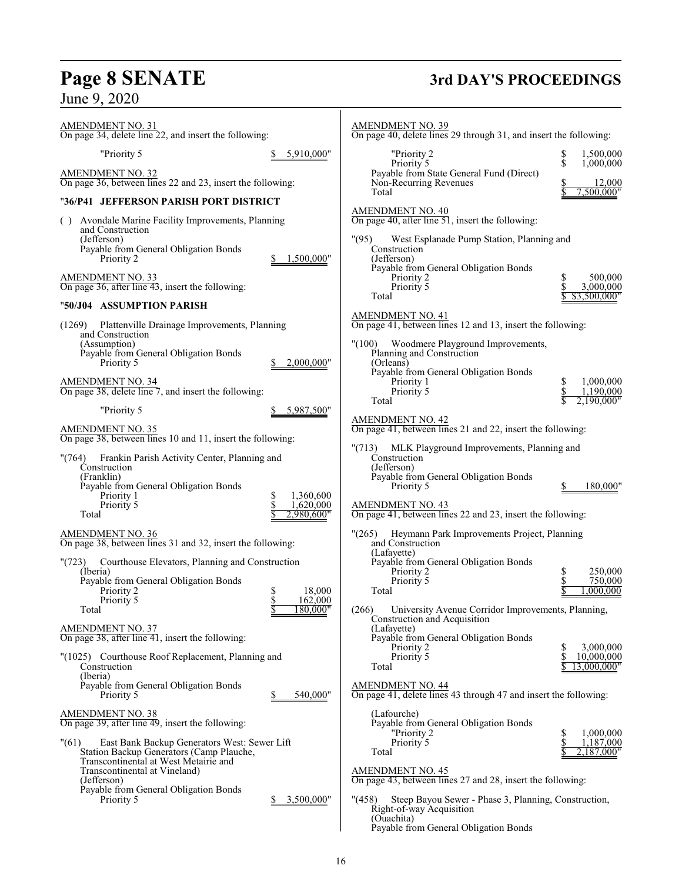# **Page 8 SENATE 3rd DAY'S PROCEEDINGS**

| <b>AMENDMENT NO. 31</b><br>On page 34, delete line 22, and insert the following:                                                                                                                                                    | <b>AMENDMENT NO. 39</b><br>On page 40, delete lines 29 through 31, and insert the following:                                                                                                                                                |
|-------------------------------------------------------------------------------------------------------------------------------------------------------------------------------------------------------------------------------------|---------------------------------------------------------------------------------------------------------------------------------------------------------------------------------------------------------------------------------------------|
| "Priority 5<br>5,910,000"                                                                                                                                                                                                           | "Priority 2<br>1,500,000<br>\$<br>\$<br>Priority 5<br>1.000.000                                                                                                                                                                             |
| <b>AMENDMENT NO. 32</b><br>On page 36, between lines 22 and 23, insert the following:                                                                                                                                               | Payable from State General Fund (Direct)<br>Non-Recurring Revenues<br>12,000<br>Total<br>500.000"                                                                                                                                           |
| "36/P41 JEFFERSON PARISH PORT DISTRICT                                                                                                                                                                                              |                                                                                                                                                                                                                                             |
| () Avondale Marine Facility Improvements, Planning<br>and Construction<br>(Jefferson)<br>Payable from General Obligation Bonds                                                                                                      | <b>AMENDMENT NO. 40</b><br>On page 40, after line $51$ , insert the following:<br>"(95)<br>West Esplanade Pump Station, Planning and<br>Construction                                                                                        |
| Priority 2<br>1.500.000"                                                                                                                                                                                                            | (Jefferson)<br>Payable from General Obligation Bonds                                                                                                                                                                                        |
| <b>AMENDMENT NO. 33</b><br>On page 36, after line 43, insert the following:                                                                                                                                                         | Priority 2<br>S<br>500,000<br>\$<br>3,000,000<br>Priority 5<br>Total<br>\$3,500,000"                                                                                                                                                        |
| "50/J04 ASSUMPTION PARISH                                                                                                                                                                                                           | <b>AMENDMENT NO. 41</b>                                                                                                                                                                                                                     |
| (1269) Plattenville Drainage Improvements, Planning<br>and Construction                                                                                                                                                             | On page 41, between lines 12 and 13, insert the following:                                                                                                                                                                                  |
| (Assumption)<br>Payable from General Obligation Bonds<br>Priority 5<br>2,000,000"                                                                                                                                                   | Woodmere Playground Improvements,<br>"(100)<br>Planning and Construction<br>(Orleans)                                                                                                                                                       |
| <b>AMENDMENT NO. 34</b><br>On page 38, delete line 7, and insert the following:                                                                                                                                                     | Payable from General Obligation Bonds<br>Priority 1<br>1,000,000<br>Priority 5<br>1,190,000                                                                                                                                                 |
| "Priority 5<br>5,987,500"                                                                                                                                                                                                           | Total<br>2.190.000                                                                                                                                                                                                                          |
| <b>AMENDMENT NO. 35</b><br>On page 38, between lines 10 and 11, insert the following:                                                                                                                                               | <b>AMENDMENT NO. 42</b><br>On page 41, between lines 21 and 22, insert the following:                                                                                                                                                       |
| Frankin Parish Activity Center, Planning and<br>"(764)<br>Construction<br>(Franklin)<br>Payable from General Obligation Bonds<br>1,360,600<br>Priority 1<br>\$<br>\$<br>Priority 5<br>1,620,000<br>2.980.600"<br>Total              | "(713) MLK Playground Improvements, Planning and<br>Construction<br>(Jefferson)<br>Payable from General Obligation Bonds<br>Priority 5<br>180,000'<br><b>AMENDMENT NO. 43</b><br>On page 41, between lines 22 and 23, insert the following: |
|                                                                                                                                                                                                                                     |                                                                                                                                                                                                                                             |
| <b>AMENDMENT NO. 36</b><br>On page 38, between lines 31 and 32, insert the following:                                                                                                                                               | "(265) Heymann Park Improvements Project, Planning<br>and Construction<br>(Lafavette)                                                                                                                                                       |
| "(723)<br>Courthouse Elevators, Planning and Construction<br>(Iberia)<br>Payable from General Obligation Bonds<br>Priority 2<br>s<br>\$<br>Priority 5<br>Total<br>180,000"                                                          | Payable from General Obligation Bonds<br>\$<br>250,000<br>Priority 2<br>\$<br>Priority 5<br>750,000<br>.000.000<br>18,000<br>Total<br>162,000<br>(266)<br>University Avenue Corridor Improvements, Planning,                                |
| <b>AMENDMENT NO. 37</b><br>On page $38$ , after line $41$ , insert the following:                                                                                                                                                   | Construction and Acquisition<br>(Lafayette)<br>Payable from General Obligation Bonds<br>3,000,000<br>Priority 2                                                                                                                             |
| "(1025) Courthouse Roof Replacement, Planning and<br>Construction<br>(Iberia)                                                                                                                                                       | \$<br>Priority 5<br>10,000,000<br>Total<br>13.000.000"                                                                                                                                                                                      |
| Payable from General Obligation Bonds<br>540,000"<br>Priority 5                                                                                                                                                                     | <b>AMENDMENT NO. 44</b><br>On page 41, delete lines 43 through 47 and insert the following:                                                                                                                                                 |
| <b>AMENDMENT NO. 38</b><br>On page 39, after line 49, insert the following:                                                                                                                                                         | (Lafourche)<br>Payable from General Obligation Bonds<br>\$<br>1,000,000<br>"Priority 2                                                                                                                                                      |
| "(61)<br>East Bank Backup Generators West: Sewer Lift<br>Station Backup Generators (Camp Plauche,<br>Transcontinental at West Metairie and<br>Transcontinental at Vineland)<br>(Jefferson)<br>Payable from General Obligation Bonds | \$<br>Priority 5<br>1,187,000<br>Total<br>2,187,000"<br><b>AMENDMENT NO. 45</b><br>On page 43, between lines 27 and 28, insert the following:                                                                                               |
| 3,500,000"<br>Priority 5                                                                                                                                                                                                            | Steep Bayou Sewer - Phase 3, Planning, Construction,<br>"(458)<br>Right-of-way Acquisition<br>(Ouachita)<br>Payable from General Obligation Bonds                                                                                           |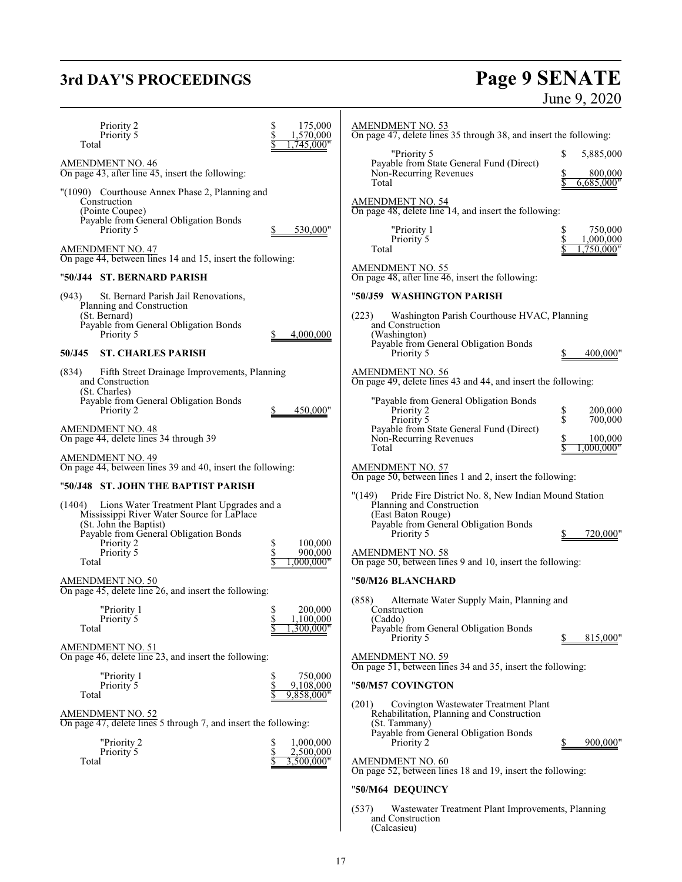# **3rd DAY'S PROCEEDINGS Page 9 SENATE** June 9, 2020

| Priority 2<br>Priority 5<br>Total                                                                                                                                                                          | \$<br>175,000<br>\$<br>1,570,000<br>,745,000"    | <b>AMENDMENT NO. 53</b><br>On page 47, delete lines 35 through 38, and insert the following:                                                                                                                                                                    |                                   |
|------------------------------------------------------------------------------------------------------------------------------------------------------------------------------------------------------------|--------------------------------------------------|-----------------------------------------------------------------------------------------------------------------------------------------------------------------------------------------------------------------------------------------------------------------|-----------------------------------|
| <b>AMENDMENT NO. 46</b><br>On page 43, after line 45, insert the following:                                                                                                                                |                                                  | "Priority 5<br>Payable from State General Fund (Direct)<br>Non-Recurring Revenues                                                                                                                                                                               | \$<br>5,885,000<br>800,000<br>S   |
| "(1090) Courthouse Annex Phase 2, Planning and<br>Construction<br>(Pointe Coupee)<br>Payable from General Obligation Bonds<br>Priority 5                                                                   | 530,000"                                         | Total<br>AMENDMENT NO. 54<br>On page 48, delete line 14, and insert the following:<br>"Priority 1                                                                                                                                                               | 6,685,000"<br>750,000<br>\$<br>\$ |
| <b>AMENDMENT NO. 47</b><br>On page 44, between lines 14 and 15, insert the following:                                                                                                                      |                                                  | Priority 5<br>Total                                                                                                                                                                                                                                             | 1,000,000<br>.750.000"            |
| "50/J44 ST. BERNARD PARISH                                                                                                                                                                                 |                                                  | <b>AMENDMENT NO. 55</b><br>On page 48, after line 46, insert the following:                                                                                                                                                                                     |                                   |
| St. Bernard Parish Jail Renovations,<br>(943)<br>Planning and Construction                                                                                                                                 |                                                  | "50/J59 WASHINGTON PARISH                                                                                                                                                                                                                                       |                                   |
| (St. Bernard)<br>Payable from General Obligation Bonds<br>Priority 5                                                                                                                                       | 4,000,000                                        | (223)<br>Washington Parish Courthouse HVAC, Planning<br>and Construction<br>(Washington)<br>Payable from General Obligation Bonds                                                                                                                               |                                   |
| <b>ST. CHARLES PARISH</b><br>50/J45                                                                                                                                                                        |                                                  | Priority 5                                                                                                                                                                                                                                                      | 400,000"                          |
| Fifth Street Drainage Improvements, Planning<br>(834)<br>and Construction<br>(St. Charles)                                                                                                                 |                                                  | <b>AMENDMENT NO. 56</b><br>On page 49, delete lines 43 and 44, and insert the following:                                                                                                                                                                        |                                   |
| Payable from General Obligation Bonds<br>Priority 2                                                                                                                                                        | 450,000"                                         | "Payable from General Obligation Bonds<br>Priority 2<br>Priority 5                                                                                                                                                                                              | \$<br>200,000<br>\$<br>700,000    |
| <b>AMENDMENT NO. 48</b><br>On page 44, delete lines 34 through 39                                                                                                                                          |                                                  | Payable from State General Fund (Direct)<br>Non-Recurring Revenues<br>Total                                                                                                                                                                                     | 100,000<br>.000.000"              |
| <b>AMENDMENT NO. 49</b><br>On page 44, between lines 39 and 40, insert the following:                                                                                                                      |                                                  | <b>AMENDMENT NO. 57</b>                                                                                                                                                                                                                                         |                                   |
| "50/J48 ST. JOHN THE BAPTIST PARISH                                                                                                                                                                        |                                                  | On page 50, between lines 1 and 2, insert the following:                                                                                                                                                                                                        |                                   |
| (1404)<br>Lions Water Treatment Plant Upgrades and a<br>Mississippi River Water Source for LaPlace<br>(St. John the Baptist)<br>Payable from General Obligation Bonds<br>Priority 2<br>Priority 5<br>Total | 100,000<br>\$<br>\$<br>900,000<br>000.000"       | "(149)<br>Pride Fire District No. 8, New Indian Mound Station<br>Planning and Construction<br>(East Baton Rouge)<br>Payable from General Obligation Bonds<br>Priority 5<br><b>AMENDMENT NO. 58</b><br>On page 50, between lines 9 and 10, insert the following: | 720,000"<br>\$                    |
| <b>AMENDMENT NO. 50</b><br>On page 45, delete line 26, and insert the following:                                                                                                                           |                                                  | "50/M26 BLANCHARD                                                                                                                                                                                                                                               |                                   |
| "Priority 1<br>Priority 5<br>Total                                                                                                                                                                         | 200,000<br>\$<br>Š<br>1,100,000<br>.300.000"     | Alternate Water Supply Main, Planning and<br>(858)<br>Construction<br>(Caddo)<br>Payable from General Obligation Bonds<br>Priority 5                                                                                                                            | 815,000"                          |
| <b>AMENDMENT NO. 51</b><br>On page 46, delete line 23, and insert the following:                                                                                                                           |                                                  | <b>AMENDMENT NO. 59</b><br>On page 51, between lines 34 and 35, insert the following:                                                                                                                                                                           |                                   |
| "Priority 1<br>Priority <sup>5</sup><br>Total                                                                                                                                                              | 750,000<br>\$<br>\$<br>9,108,000<br>9,858,000"   | "50/M57 COVINGTON                                                                                                                                                                                                                                               |                                   |
| <b>AMENDMENT NO. 52</b><br>On page 47, delete lines 5 through 7, and insert the following:<br>"Priority 2<br>Priority 5<br>Total                                                                           | \$<br>1,000,000<br>\$<br>2,500,000<br>3,500,000" | Covington Wastewater Treatment Plant<br>(201)<br>Rehabilitation, Planning and Construction<br>(St. Tammany)<br>Payable from General Obligation Bonds<br>Priority 2<br><b>AMENDMENT NO. 60</b><br>On page 52, between lines 18 and 19, insert the following:     | 900,000"                          |
|                                                                                                                                                                                                            |                                                  | "50/M64 DEQUINCY                                                                                                                                                                                                                                                |                                   |
|                                                                                                                                                                                                            |                                                  | (537)<br>Wastewater Treatment Plant Improvements, Planning                                                                                                                                                                                                      |                                   |

and Construction (Calcasieu)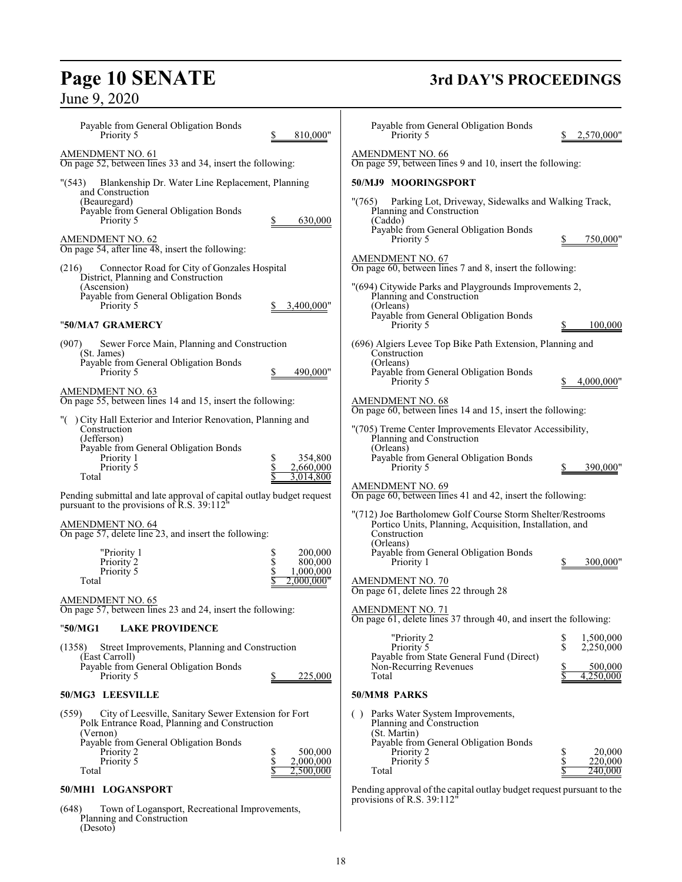Planning and Construction

(Desoto)

June 9, 2020

# **Page 10 SENATE 3rd DAY'S PROCEEDINGS**

| Payable from General Obligation Bonds<br>810,000"<br>Priority 5                                                                                                                                                                     | Payable from General Obligation Bonds<br>2,570,000"<br>Priority 5                                                                                                                       |
|-------------------------------------------------------------------------------------------------------------------------------------------------------------------------------------------------------------------------------------|-----------------------------------------------------------------------------------------------------------------------------------------------------------------------------------------|
| <b>AMENDMENT NO. 61</b><br>On page 52, between lines 33 and 34, insert the following:                                                                                                                                               | AMENDMENT NO. 66<br>On page 59, between lines 9 and 10, insert the following:                                                                                                           |
| Blankenship Dr. Water Line Replacement, Planning<br>"(543)                                                                                                                                                                          | 50/MJ9 MOORINGSPORT                                                                                                                                                                     |
| and Construction<br>(Beauregard)<br>Payable from General Obligation Bonds<br>630,000<br>Priority 5                                                                                                                                  | Parking Lot, Driveway, Sidewalks and Walking Track,<br>"(765)<br>Planning and Construction<br>(Caddo)                                                                                   |
| <b>AMENDMENT NO. 62</b><br>On page 54, after line 48, insert the following:                                                                                                                                                         | Payable from General Obligation Bonds<br>750,000"<br>Priority 5                                                                                                                         |
| Connector Road for City of Gonzales Hospital<br>(216)<br>District, Planning and Construction                                                                                                                                        | <b>AMENDMENT NO. 67</b><br>On page 60, between lines 7 and 8, insert the following:                                                                                                     |
| (Ascension)<br>Payable from General Obligation Bonds<br>Priority 5<br>3,400,000"                                                                                                                                                    | "(694) Citywide Parks and Playgrounds Improvements 2,<br>Planning and Construction<br>(Orleans)                                                                                         |
| "50/MA7 GRAMERCY                                                                                                                                                                                                                    | Payable from General Obligation Bonds<br>Priority 5<br>100,000                                                                                                                          |
| (907)<br>Sewer Force Main, Planning and Construction<br>(St. James)                                                                                                                                                                 | (696) Algiers Levee Top Bike Path Extension, Planning and<br>Construction                                                                                                               |
| Payable from General Obligation Bonds<br>Priority 5<br>490,000"                                                                                                                                                                     | (Orleans)<br>Payable from General Obligation Bonds<br>Priority 5<br>4,000,000"                                                                                                          |
| AMENDMENT NO. 63<br>On page 55, between lines 14 and 15, insert the following:                                                                                                                                                      | <b>AMENDMENT NO. 68</b><br>On page 60, between lines 14 and 15, insert the following:                                                                                                   |
| "() City Hall Exterior and Interior Renovation, Planning and<br>Construction<br>(Jefferson)                                                                                                                                         | "(705) Treme Center Improvements Elevator Accessibility,<br>Planning and Construction                                                                                                   |
| Payable from General Obligation Bonds<br>\$<br>354,800<br>Priority 1<br>\$<br>Priority 5<br>2,660,000                                                                                                                               | (Orleans)<br>Payable from General Obligation Bonds<br>Priority 5<br>390,000"                                                                                                            |
| 3,014,800<br>Total                                                                                                                                                                                                                  | <b>AMENDMENT NO. 69</b>                                                                                                                                                                 |
| Pending submittal and late approval of capital outlay budget request<br>pursuant to the provisions of R.S. 39:112"                                                                                                                  | On page 60, between lines 41 and 42, insert the following:                                                                                                                              |
| <b>AMENDMENT NO. 64</b><br>On page 57, delete line 23, and insert the following:                                                                                                                                                    | "(712) Joe Bartholomew Golf Course Storm Shelter/Restrooms<br>Portico Units, Planning, Acquisition, Installation, and<br>Construction                                                   |
| "Priority 1<br>200,000<br>\$<br>\$<br>800,000<br>Priority 2                                                                                                                                                                         | (Orleans)<br>Payable from General Obligation Bonds<br>Priority 1<br>300,000'                                                                                                            |
| \$<br>Priority 5<br>1,000,000<br>2,000,000"<br>Total                                                                                                                                                                                | <b>AMENDMENT NO. 70</b><br>On page 61, delete lines 22 through 28                                                                                                                       |
| <b>AMENDMENT NO. 65</b><br>On page 57, between lines 23 and 24, insert the following:                                                                                                                                               | <b>AMENDMENT NO. 71</b><br>On page 61, delete lines 37 through 40, and insert the following:                                                                                            |
| "50/MG1<br><b>LAKE PROVIDENCE</b>                                                                                                                                                                                                   | "Priority 2<br>\$<br>1,500,000                                                                                                                                                          |
| Street Improvements, Planning and Construction<br>(1358)<br>(East Carroll)                                                                                                                                                          | \$<br>Priority 5<br>2,250,000<br>Payable from State General Fund (Direct)                                                                                                               |
| Payable from General Obligation Bonds<br>225,000<br>Priority 5<br>\$                                                                                                                                                                | Non-Recurring Revenues<br>500,000<br>4,250,000<br>Total                                                                                                                                 |
| 50/MG3 LEESVILLE                                                                                                                                                                                                                    | 50/MM8 PARKS                                                                                                                                                                            |
| City of Leesville, Sanitary Sewer Extension for Fort<br>(559)<br>Polk Entrance Road, Planning and Construction<br>(Vernon)<br>Payable from General Obligation Bonds<br>500,000<br>Priority 2<br>\$<br>\$<br>2,000,000<br>Priority 5 | Parks Water System Improvements,<br>(<br>Planning and Construction<br>(St. Martin)<br>Payable from General Obligation Bonds<br>20,000<br>Priority 2<br>2<br>\$<br>220,000<br>Priority 5 |
| \$<br>Total<br>2,500,000                                                                                                                                                                                                            | Total<br>240,000                                                                                                                                                                        |
| 50/MH1 LOGANSPORT                                                                                                                                                                                                                   | Pending approval of the capital outlay budget request pursuant to the<br>provisions of R.S. 39:112"                                                                                     |
| (648)<br>Town of Logansport, Recreational Improvements,                                                                                                                                                                             |                                                                                                                                                                                         |

 $\mathsf{l}$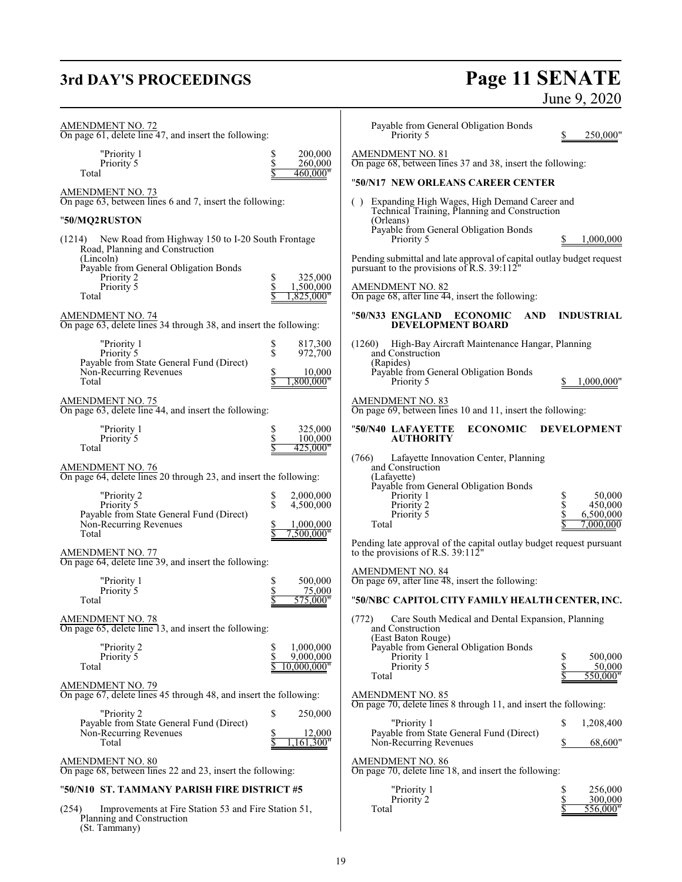## **3rd DAY'S PROCEEDINGS**

Planning and Construction

(St. Tammany)

# **Page 11 SENATE**<br>June 9, 2020

| <b>AMENDMENT NO. 72</b><br>On page 61, delete line 47, and insert the following:                        |                                      | Payable from General Obligation Bonds<br>Priority 5                                                      | 250,000"                         |
|---------------------------------------------------------------------------------------------------------|--------------------------------------|----------------------------------------------------------------------------------------------------------|----------------------------------|
| "Priority 1<br>Priority 5<br>Total                                                                      | 200,000<br>\$<br>260,000<br>460,000" | <b>AMENDMENT NO. 81</b><br>On page 68, between lines 37 and 38, insert the following:                    |                                  |
|                                                                                                         |                                      | "50/N17 NEW ORLEANS CAREER CENTER                                                                        |                                  |
| <b>AMENDMENT NO. 73</b><br>On page 63, between lines 6 and 7, insert the following:                     |                                      | Expanding High Wages, High Demand Career and<br>Technical Training, Planning and Construction            |                                  |
| "50/MQ2RUSTON                                                                                           |                                      | (Orleans)<br>Payable from General Obligation Bonds                                                       |                                  |
| (1214) New Road from Highway 150 to I-20 South Frontage<br>Road, Planning and Construction<br>(Lincoln) |                                      | Priority 5<br>Pending submittal and late approval of capital outlay budget request                       | 1,000,000                        |
| Payable from General Obligation Bonds<br>Priority 2                                                     | 325,000<br>S                         | pursuant to the provisions of R.S. 39:112"                                                               |                                  |
| Priority 5<br>Total                                                                                     | \$<br>1,500,000<br>1,825,000"        | <b>AMENDMENT NO. 82</b><br>On page $68$ , after line $44$ , insert the following:                        |                                  |
| <b>AMENDMENT NO. 74</b><br>On page 63, delete lines 34 through 38, and insert the following:            |                                      | "50/N33 ENGLAND ECONOMIC<br><b>AND</b><br><b>DEVELOPMENT BOARD</b>                                       | <b>INDUSTRIAL</b>                |
| "Priority 1<br>Priority 5                                                                               | 817,300<br>\$<br>\$<br>972,700       | (1260) High-Bay Aircraft Maintenance Hangar, Planning<br>and Construction                                |                                  |
| Payable from State General Fund (Direct)<br>Non-Recurring Revenues<br>Total                             | 10,000<br>0.800,000"                 | (Rapides)<br>Payable from General Obligation Bonds<br>Priority 5                                         | 1,000,000"                       |
| $\frac{\text{AMENDMENT NO. 75}}{\text{On page 63, delete line 44, and insert the following:}}$          |                                      | <b>AMENDMENT NO. 83</b><br>On page 69, between lines 10 and 11, insert the following:                    |                                  |
| "Priority 1<br>Priority 5                                                                               | \$<br>325,000<br>\$<br>100,000       | "50/N40 LAFAYETTE<br><b>ECONOMIC</b><br><b>AUTHORITY</b>                                                 | <b>DEVELOPMENT</b>               |
| Total                                                                                                   | 425,000"                             | Lafayette Innovation Center, Planning                                                                    |                                  |
| <b>AMENDMENT NO. 76</b><br>On page 64, delete lines 20 through 23, and insert the following:            |                                      | (766)<br>and Construction<br>(Lafayette)                                                                 |                                  |
| "Priority 2                                                                                             | 2,000,000<br>\$                      | Payable from General Obligation Bonds<br>Priority 1                                                      | \$<br>50,000                     |
| Priority 5<br>Payable from State General Fund (Direct)                                                  | \$<br>4,500,000                      | Priority 2<br>Priority 5                                                                                 | \$<br>\$<br>450,000<br>6,500,000 |
| Non-Recurring Revenues<br>Total                                                                         | 1,000,000<br>7,500,000"              | Total                                                                                                    | 7.000.000                        |
| <b>AMENDMENT NO. 77</b><br>On page 64, delete line 39, and insert the following:                        |                                      | Pending late approval of the capital outlay budget request pursuant<br>to the provisions of R.S. 39:112" |                                  |
| "Priority 1                                                                                             | \$<br>500,000                        | <b>AMENDMENT NO. 84</b><br>On page 69, after line 48, insert the following:                              |                                  |
| Priority 5<br>Total                                                                                     | \$<br>75,000<br>575,000"             | "50/NBC CAPITOL CITY FAMILY HEALTH CENTER, INC.                                                          |                                  |
| <b>AMENDMENT NO. 78</b><br>On page 65, delete line 13, and insert the following:                        |                                      | Care South Medical and Dental Expansion, Planning<br>(772)<br>and Construction                           |                                  |
| "Priority 2                                                                                             | \$<br>1,000,000                      | (East Baton Rouge)<br>Payable from General Obligation Bonds                                              |                                  |
| Priority 5                                                                                              | \$<br>9,000,000                      | Priority 1                                                                                               | 500,000<br>S                     |
| Total                                                                                                   | 10.000.000"                          | Priority 5<br>Total                                                                                      | \$<br>50,000<br>550,000"         |
| <b>AMENDMENT NO. 79</b><br>On page 67, delete lines 45 through 48, and insert the following:            |                                      | AMENDMENT NO. 85                                                                                         |                                  |
| "Priority 2                                                                                             | \$<br>250,000                        | On page 70, delete lines 8 through 11, and insert the following:                                         |                                  |
| Payable from State General Fund (Direct)                                                                |                                      | "Priority 1                                                                                              | \$<br>1,208,400                  |
| Non-Recurring Revenues<br>Total                                                                         | 12,000<br>,161,300"                  | Payable from State General Fund (Direct)<br>Non-Recurring Revenues                                       | 68,600"<br>S                     |
| <b>AMENDMENT NO. 80</b><br>On page 68, between lines 22 and 23, insert the following:                   |                                      | <b>AMENDMENT NO. 86</b><br>On page 70, delete line 18, and insert the following:                         |                                  |
| "50/N10 ST. TAMMANY PARISH FIRE DISTRICT #5                                                             |                                      | "Priority 1                                                                                              | \$<br>256,000                    |
| Improvements at Fire Station 53 and Fire Station 51,<br>(254)                                           |                                      | Priority 2<br>Total                                                                                      | \$<br>300,000<br>556,000"        |

 $\overline{\phantom{a}}$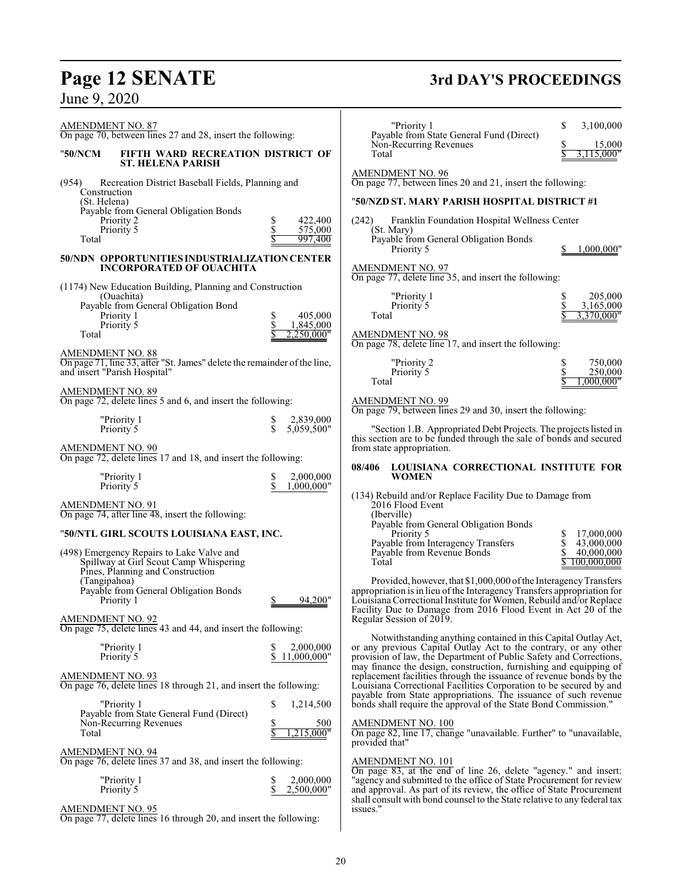| AMENDMENT NO. 87<br>On page 70, between lines 27 and 28, insert the following:                                                             |                                               | "Priority 1<br>Payable from State General Fund (Direct)                                                                                                                                                                                                                            | \$<br>3,100,000                                    |
|--------------------------------------------------------------------------------------------------------------------------------------------|-----------------------------------------------|------------------------------------------------------------------------------------------------------------------------------------------------------------------------------------------------------------------------------------------------------------------------------------|----------------------------------------------------|
| FIFTH WARD RECREATION DISTRICT OF<br>"50/NCM<br><b>ST. HELENA PARISH</b>                                                                   |                                               | Non-Recurring Revenues<br>Total                                                                                                                                                                                                                                                    | 15,000<br>3,115,000"                               |
| Recreation District Baseball Fields, Planning and<br>(954)<br>Construction                                                                 |                                               | AMENDMENT NO. 96<br>On page 77, between lines 20 and 21, insert the following:                                                                                                                                                                                                     |                                                    |
| (St. Helena)<br>Payable from General Obligation Bonds                                                                                      |                                               | "50/NZD ST. MARY PARISH HOSPITAL DISTRICT #1                                                                                                                                                                                                                                       |                                                    |
| Priority 2<br>Priority 5<br>Total                                                                                                          | 422,400<br>\$<br>\$<br>575,000<br>997,400     | Franklin Foundation Hospital Wellness Center<br>(242)<br>(St. Mary)<br>Payable from General Obligation Bonds                                                                                                                                                                       |                                                    |
| 50/NDN OPPORTUNITIES INDUSTRIALIZATION CENTER<br><b>INCORPORATED OF OUACHITA</b>                                                           |                                               | Priority 5<br>AMENDMENT NO. 97<br>On page 77, delete line 35, and insert the following:                                                                                                                                                                                            | 1.000.000"                                         |
| (1174) New Education Building, Planning and Construction<br>(Ouachita)<br>Payable from General Obligation Bond<br>Priority 1<br>Priority 5 | 405,000<br>S<br>\$<br>1,845,000               | "Priority 1<br>Priority 5<br>Total                                                                                                                                                                                                                                                 | S<br>205,000<br>3,165,000<br>3,370,000"            |
| Total<br><b>AMENDMENT NO. 88</b>                                                                                                           | ,250,000"                                     | AMENDMENT NO. 98<br>On page 78, delete line 17, and insert the following:                                                                                                                                                                                                          |                                                    |
| On page 71, line 33, after "St. James" delete the remainder of the line,<br>and insert "Parish Hospital"                                   |                                               | "Priority 2<br>Priority 5<br>Total                                                                                                                                                                                                                                                 | \$<br>750,000<br>\$<br>250,000<br>,000,000"        |
| <b>AMENDMENT NO. 89</b><br>On page 72, delete lines 5 and 6, and insert the following:                                                     |                                               | <b>AMENDMENT NO. 99</b><br>On page 79, between lines 29 and 30, insert the following:                                                                                                                                                                                              |                                                    |
| "Priority 1<br>Priority 5                                                                                                                  | 2,839,000<br>$\dot{\mathbb{S}}$<br>5,059,500" | "Section 1.B. Appropriated Debt Projects. The projects listed in<br>this section are to be funded through the sale of bonds and secured                                                                                                                                            |                                                    |
| <b>AMENDMENT NO. 90</b><br>On page 72, delete lines 17 and 18, and insert the following:                                                   |                                               | from state appropriation.                                                                                                                                                                                                                                                          |                                                    |
| "Priority 1<br>Priority 5                                                                                                                  | 2,000,000<br>\$<br>\$<br>1,000,000"           | LOUISIANA CORRECTIONAL INSTITUTE FOR<br>08/406<br><b>WOMEN</b>                                                                                                                                                                                                                     |                                                    |
| <b>AMENDMENT NO. 91</b><br>On page 74, after line 48, insert the following:                                                                |                                               | (134) Rebuild and/or Replace Facility Due to Damage from<br>2016 Flood Event<br>(Iberville)<br>Payable from General Obligation Bonds                                                                                                                                               |                                                    |
| "50/NTL GIRL SCOUTS LOUISIANA EAST, INC.<br>(498) Emergency Repairs to Lake Valve and                                                      |                                               | Priority 5<br>Payable from Interagency Transfers<br>Payable from Revenue Bonds                                                                                                                                                                                                     | 17,000,000<br>\$<br>43,000,000<br>\$<br>40,000,000 |
| Spillway at Girl Scout Camp Whispering<br>Pines, Planning and Construction                                                                 |                                               | Total                                                                                                                                                                                                                                                                              | 100,000,000                                        |
| (Tangipahoa)<br>Payable from General Obligation Bonds<br>Priority 1                                                                        | 94.200"<br>\$                                 | Provided, however, that \$1,000,000 of the Interagency Transfers<br>appropriation is in lieu of the Interagency Transfers appropriation for<br>Louisiana Correctional Institute for Women, Rebuild and/or Replace<br>Facility Due to Damage from 2016 Flood Event in Act 20 of the |                                                    |
| <b>AMENDMENT NO. 92</b><br>On page 75, delete lines 43 and 44, and insert the following:                                                   |                                               | Regular Session of 2019.                                                                                                                                                                                                                                                           |                                                    |
| "Priority 1<br>Priority 5                                                                                                                  | 2,000,000<br>S<br>\$<br>11,000,000"           | Notwithstanding anything contained in this Capital Outlay Act,<br>or any previous Capital Outlay Act to the contrary, or any other<br>provision of law, the Department of Public Safety and Corrections,<br>may finance the design, construction, furnishing and equipping of      |                                                    |
| AMENDMENT NO. 93<br>On page 76, delete lines 18 through 21, and insert the following:                                                      |                                               | replacement facilities through the issuance of revenue bonds by the<br>Louisiana Correctional Facilities Corporation to be secured by and<br>payable from State appropriations. The issuance of such revenue                                                                       |                                                    |
| "Priority 1<br>Payable from State General Fund (Direct)<br>Non-Recurring Revenues<br>Total                                                 | \$<br>1,214,500<br>500<br>s<br>S<br>,215,000" | bonds shall require the approval of the State Bond Commission."<br>AMENDMENT NO. 100<br>On page 82, line 17, change "unavailable. Further" to "unavailable,                                                                                                                        |                                                    |
| <b>AMENDMENT NO. 94</b><br>On page 76, delete lines 37 and 38, and insert the following:                                                   |                                               | provided that"<br><b>AMENDMENT NO. 101</b>                                                                                                                                                                                                                                         |                                                    |

On page 76, delete lines 37 and 38, and insert the following:

| "Priority 1<br>Priority 5 |  | 2,000,000<br>2,500,000" |
|---------------------------|--|-------------------------|
|---------------------------|--|-------------------------|

AMENDMENT NO. 95

On page 77, delete lines 16 through 20, and insert the following:

# **Page 12 SENATE 3rd DAY'S PROCEEDINGS**

On page 83, at the end of line 26, delete "agency." and insert: "agency and submitted to the office of State Procurement for review and approval. As part of its review, the office of State Procurement shall consult with bond counsel to the State relative to any federal tax

issues."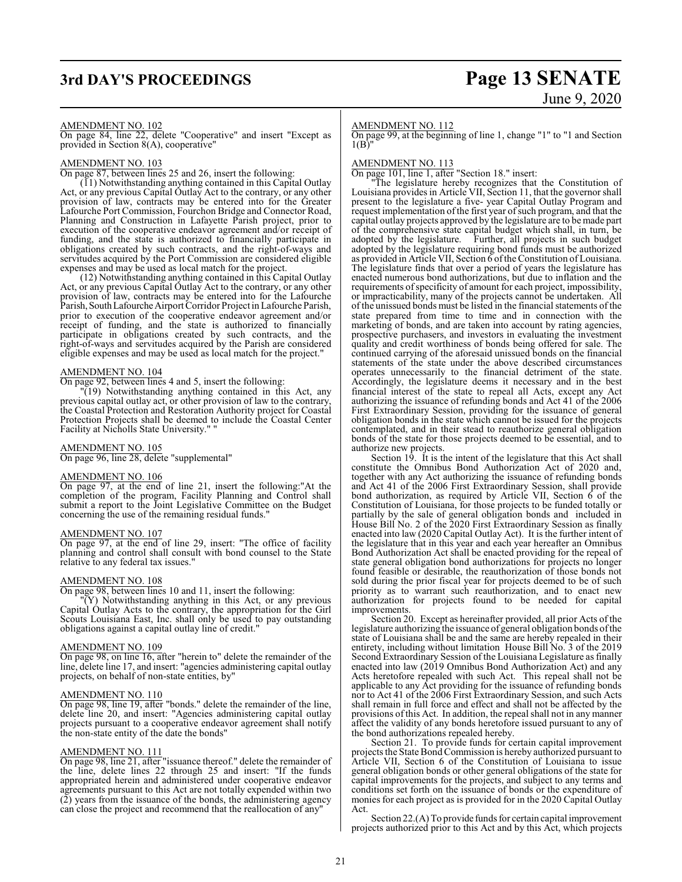# **3rd DAY'S PROCEEDINGS Page 13 SENATE**

# June 9, 2020

### AMENDMENT NO. 102

On page 84, line 22, delete "Cooperative" and insert "Except as provided in Section 8(A), cooperative"

### AMENDMENT NO. 103

On page 87, between lines 25 and 26, insert the following:

(11) Notwithstanding anything contained in this Capital Outlay Act, or any previous Capital Outlay Act to the contrary, or any other provision of law, contracts may be entered into for the Greater Lafourche Port Commission, Fourchon Bridge and Connector Road, Planning and Construction in Lafayette Parish project, prior to execution of the cooperative endeavor agreement and/or receipt of funding, and the state is authorized to financially participate in obligations created by such contracts, and the right-of-ways and servitudes acquired by the Port Commission are considered eligible expenses and may be used as local match for the project.

(12) Notwithstanding anything contained in this Capital Outlay Act, or any previous Capital Outlay Act to the contrary, or any other provision of law, contracts may be entered into for the Lafourche Parish, South Lafourche Airport Corridor Project in Lafourche Parish, prior to execution of the cooperative endeavor agreement and/or receipt of funding, and the state is authorized to financially participate in obligations created by such contracts, and the right-of-ways and servitudes acquired by the Parish are considered eligible expenses and may be used as local match for the project."

### AMENDMENT NO. 104

On page 92, between lines 4 and 5, insert the following:

"(19) Notwithstanding anything contained in this Act, any previous capital outlay act, or other provision of law to the contrary, the Coastal Protection and Restoration Authority project for Coastal Protection Projects shall be deemed to include the Coastal Center Facility at Nicholls State University."

### AMENDMENT NO. 105

On page 96, line 28, delete "supplemental"

### AMENDMENT NO. 106

On page 97, at the end of line 21, insert the following:"At the completion of the program, Facility Planning and Control shall submit a report to the Joint Legislative Committee on the Budget concerning the use of the remaining residual funds."

### AMENDMENT NO. 107

On page 97, at the end of line 29, insert: "The office of facility planning and control shall consult with bond counsel to the State relative to any federal tax issues."

### AMENDMENT NO. 108

On page 98, between lines 10 and 11, insert the following:

"(Y) Notwithstanding anything in this Act, or any previous Capital Outlay Acts to the contrary, the appropriation for the Girl Scouts Louisiana East, Inc. shall only be used to pay outstanding obligations against a capital outlay line of credit."

### AMENDMENT NO. 109

On page 98, on line 16, after "herein to" delete the remainder of the line, delete line 17, and insert: "agencies administering capital outlay projects, on behalf of non-state entities, by"

### AMENDMENT NO. 110

On page 98, line 19, after "bonds." delete the remainder of the line, delete line 20, and insert: "Agencies administering capital outlay projects pursuant to a cooperative endeavor agreement shall notify the non-state entity of the date the bonds"

### AMENDMENT NO. 111

On page 98, line 21, after "issuance thereof." delete the remainder of the line, delete lines 22 through 25 and insert: "If the funds appropriated herein and administered under cooperative endeavor agreements pursuant to this Act are not totally expended within two (2) years from the issuance of the bonds, the administering agency can close the project and recommend that the reallocation of any"

### AMENDMENT NO. 112

On page 99, at the beginning of line 1, change "1" to "1 and Section  $1(B)$ "

### AMENDMENT NO. 113

On page 101, line 1, after "Section 18." insert:

"The legislature hereby recognizes that the Constitution of Louisiana provides in Article VII, Section 11, that the governor shall present to the legislature a five- year Capital Outlay Program and request implementation of the first year of such program, and that the capital outlay projects approved by the legislature are to be made part of the comprehensive state capital budget which shall, in turn, be Further, all projects in such budget adopted by the legislature requiring bond funds must be authorized as provided in Article VII, Section 6 ofthe Constitution of Louisiana. The legislature finds that over a period of years the legislature has enacted numerous bond authorizations, but due to inflation and the requirements of specificity of amount for each project, impossibility, or impracticability, many of the projects cannot be undertaken. All of the unissued bonds must be listed in the financial statements of the state prepared from time to time and in connection with the marketing of bonds, and are taken into account by rating agencies, prospective purchasers, and investors in evaluating the investment quality and credit worthiness of bonds being offered for sale. The continued carrying of the aforesaid unissued bonds on the financial statements of the state under the above described circumstances operates unnecessarily to the financial detriment of the state. Accordingly, the legislature deems it necessary and in the best financial interest of the state to repeal all Acts, except any Act authorizing the issuance of refunding bonds and Act 41 of the 2006 First Extraordinary Session, providing for the issuance of general obligation bonds in the state which cannot be issued for the projects contemplated, and in their stead to reauthorize general obligation bonds of the state for those projects deemed to be essential, and to authorize new projects.

Section 19. It is the intent of the legislature that this Act shall constitute the Omnibus Bond Authorization Act of 2020 and, together with any Act authorizing the issuance of refunding bonds and Act 41 of the 2006 First Extraordinary Session, shall provide bond authorization, as required by Article VII, Section 6 of the Constitution of Louisiana, for those projects to be funded totally or partially by the sale of general obligation bonds and included in House Bill No. 2 of the 2020 First Extraordinary Session as finally enacted into law (2020 Capital Outlay Act). It is the further intent of the legislature that in this year and each year hereafter an Omnibus Bond Authorization Act shall be enacted providing for the repeal of state general obligation bond authorizations for projects no longer found feasible or desirable, the reauthorization of those bonds not sold during the prior fiscal year for projects deemed to be of such priority as to warrant such reauthorization, and to enact new authorization for projects found to be needed for capital improvements.

Section 20. Except as hereinafter provided, all prior Acts of the legislature authorizing the issuance of general obligation bonds ofthe state of Louisiana shall be and the same are hereby repealed in their entirety, including without limitation House Bill No. 3 of the 2019 Second Extraordinary Session of the Louisiana Legislature as finally enacted into law (2019 Omnibus Bond Authorization Act) and any Acts heretofore repealed with such Act. This repeal shall not be applicable to any Act providing for the issuance of refunding bonds nor to Act 41 of the 2006 First Extraordinary Session, and such Acts shall remain in full force and effect and shall not be affected by the provisions of this Act. In addition, the repeal shall not in any manner affect the validity of any bonds heretofore issued pursuant to any of the bond authorizations repealed hereby.

Section 21. To provide funds for certain capital improvement projects the State BondCommission is hereby authorized pursuant to Article VII, Section 6 of the Constitution of Louisiana to issue general obligation bonds or other general obligations of the state for capital improvements for the projects, and subject to any terms and conditions set forth on the issuance of bonds or the expenditure of monies for each project as is provided for in the 2020 Capital Outlay Act.

Section 22.(A) To provide funds for certain capital improvement projects authorized prior to this Act and by this Act, which projects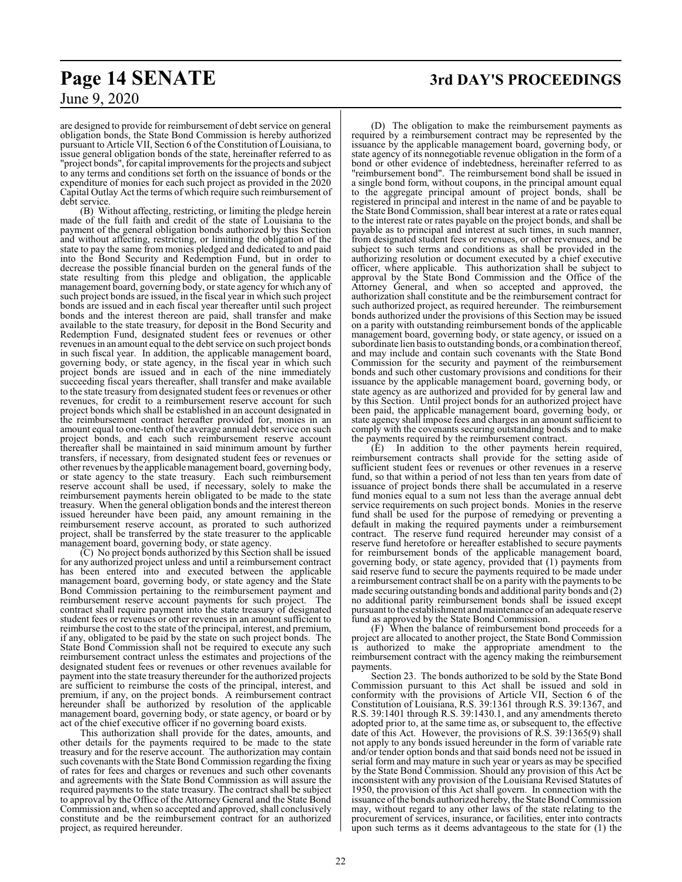## **Page 14 SENATE 3rd DAY'S PROCEEDINGS**

June 9, 2020

are designed to provide for reimbursement of debt service on general obligation bonds, the State Bond Commission is hereby authorized pursuant to Article VII, Section 6 ofthe Constitution of Louisiana, to issue general obligation bonds of the state, hereinafter referred to as "project bonds", for capital improvements for the projects and subject to any terms and conditions set forth on the issuance of bonds or the expenditure of monies for each such project as provided in the 2020 Capital Outlay Act the terms of which require such reimbursement of debt service.

(B) Without affecting, restricting, or limiting the pledge herein made of the full faith and credit of the state of Louisiana to the payment of the general obligation bonds authorized by this Section and without affecting, restricting, or limiting the obligation of the state to pay the same from monies pledged and dedicated to and paid into the Bond Security and Redemption Fund, but in order to decrease the possible financial burden on the general funds of the state resulting from this pledge and obligation, the applicable management board, governing body, or state agency for which any of such project bonds are issued, in the fiscal year in which such project bonds are issued and in each fiscal year thereafter until such project bonds and the interest thereon are paid, shall transfer and make available to the state treasury, for deposit in the Bond Security and Redemption Fund, designated student fees or revenues or other revenues in an amount equal to the debt service on such project bonds in such fiscal year. In addition, the applicable management board, governing body, or state agency, in the fiscal year in which such project bonds are issued and in each of the nine immediately succeeding fiscal years thereafter, shall transfer and make available to the state treasury from designated student fees or revenues or other revenues, for credit to a reimbursement reserve account for such project bonds which shall be established in an account designated in the reimbursement contract hereafter provided for, monies in an amount equal to one-tenth of the average annual debt service on such project bonds, and each such reimbursement reserve account thereafter shall be maintained in said minimum amount by further transfers, if necessary, from designated student fees or revenues or other revenues by the applicable management board, governing body, or state agency to the state treasury. Each such reimbursement reserve account shall be used, if necessary, solely to make the reimbursement payments herein obligated to be made to the state treasury. When the general obligation bonds and the interest thereon issued hereunder have been paid, any amount remaining in the reimbursement reserve account, as prorated to such authorized project, shall be transferred by the state treasurer to the applicable management board, governing body, or state agency.

(C) No project bonds authorized by this Section shall be issued for any authorized project unless and until a reimbursement contract has been entered into and executed between the applicable management board, governing body, or state agency and the State Bond Commission pertaining to the reimbursement payment and reimbursement reserve account payments for such project. The contract shall require payment into the state treasury of designated student fees or revenues or other revenues in an amount sufficient to reimburse the cost to the state of the principal, interest, and premium, if any, obligated to be paid by the state on such project bonds. The State Bond Commission shall not be required to execute any such reimbursement contract unless the estimates and projections of the designated student fees or revenues or other revenues available for payment into the state treasury thereunder for the authorized projects are sufficient to reimburse the costs of the principal, interest, and premium, if any, on the project bonds. A reimbursement contract hereunder shall be authorized by resolution of the applicable management board, governing body, or state agency, or board or by act of the chief executive officer if no governing board exists.

This authorization shall provide for the dates, amounts, and other details for the payments required to be made to the state treasury and for the reserve account. The authorization may contain such covenants with the State Bond Commission regarding the fixing of rates for fees and charges or revenues and such other covenants and agreements with the State Bond Commission as will assure the required payments to the state treasury. The contract shall be subject to approval by the Office of the Attorney General and the State Bond Commission and, when so accepted and approved, shall conclusively constitute and be the reimbursement contract for an authorized project, as required hereunder.

(D) The obligation to make the reimbursement payments as required by a reimbursement contract may be represented by the issuance by the applicable management board, governing body, or state agency of its nonnegotiable revenue obligation in the form of a bond or other evidence of indebtedness, hereinafter referred to as "reimbursement bond". The reimbursement bond shall be issued in a single bond form, without coupons, in the principal amount equal to the aggregate principal amount of project bonds, shall be registered in principal and interest in the name of and be payable to the State Bond Commission, shall bear interest at a rate or rates equal to the interest rate or rates payable on the project bonds, and shall be payable as to principal and interest at such times, in such manner, from designated student fees or revenues, or other revenues, and be subject to such terms and conditions as shall be provided in the authorizing resolution or document executed by a chief executive officer, where applicable. This authorization shall be subject to approval by the State Bond Commission and the Office of the Attorney General, and when so accepted and approved, the authorization shall constitute and be the reimbursement contract for such authorized project, as required hereunder. The reimbursement bonds authorized under the provisions of this Section may be issued on a parity with outstanding reimbursement bonds of the applicable management board, governing body, or state agency, or issued on a subordinate lien basis to outstanding bonds, or a combination thereof, and may include and contain such covenants with the State Bond Commission for the security and payment of the reimbursement bonds and such other customary provisions and conditions for their issuance by the applicable management board, governing body, or state agency as are authorized and provided for by general law and by this Section. Until project bonds for an authorized project have been paid, the applicable management board, governing body, or state agency shall impose fees and charges in an amount sufficient to comply with the covenants securing outstanding bonds and to make the payments required by the reimbursement contract.

(E) In addition to the other payments herein required, reimbursement contracts shall provide for the setting aside of sufficient student fees or revenues or other revenues in a reserve fund, so that within a period of not less than ten years from date of issuance of project bonds there shall be accumulated in a reserve fund monies equal to a sum not less than the average annual debt service requirements on such project bonds. Monies in the reserve fund shall be used for the purpose of remedying or preventing a default in making the required payments under a reimbursement contract. The reserve fund required hereunder may consist of a reserve fund heretofore or hereafter established to secure payments for reimbursement bonds of the applicable management board, governing body, or state agency, provided that (1) payments from said reserve fund to secure the payments required to be made under a reimbursement contract shall be on a parity with the payments to be made securing outstanding bonds and additional parity bonds and (2) no additional parity reimbursement bonds shall be issued except pursuant to the establishment and maintenance of an adequate reserve fund as approved by the State Bond Commission.

(F) When the balance of reimbursement bond proceeds for a project are allocated to another project, the State Bond Commission is authorized to make the appropriate amendment to the reimbursement contract with the agency making the reimbursement payments.

Section 23. The bonds authorized to be sold by the State Bond Commission pursuant to this Act shall be issued and sold in conformity with the provisions of Article VII, Section 6 of the Constitution of Louisiana, R.S. 39:1361 through R.S. 39:1367, and R.S. 39:1401 through R.S. 39:1430.1, and any amendments thereto adopted prior to, at the same time as, or subsequent to, the effective date of this Act. However, the provisions of R.S. 39:1365(9) shall not apply to any bonds issued hereunder in the form of variable rate and/or tender option bonds and that said bonds need not be issued in serial form and may mature in such year or years as may be specified by the State Bond Commission. Should any provision of this Act be inconsistent with any provision of the Louisiana Revised Statutes of 1950, the provision of this Act shall govern. In connection with the issuance of the bonds authorized hereby, the State Bond Commission may, without regard to any other laws of the state relating to the procurement of services, insurance, or facilities, enter into contracts upon such terms as it deems advantageous to the state for (1) the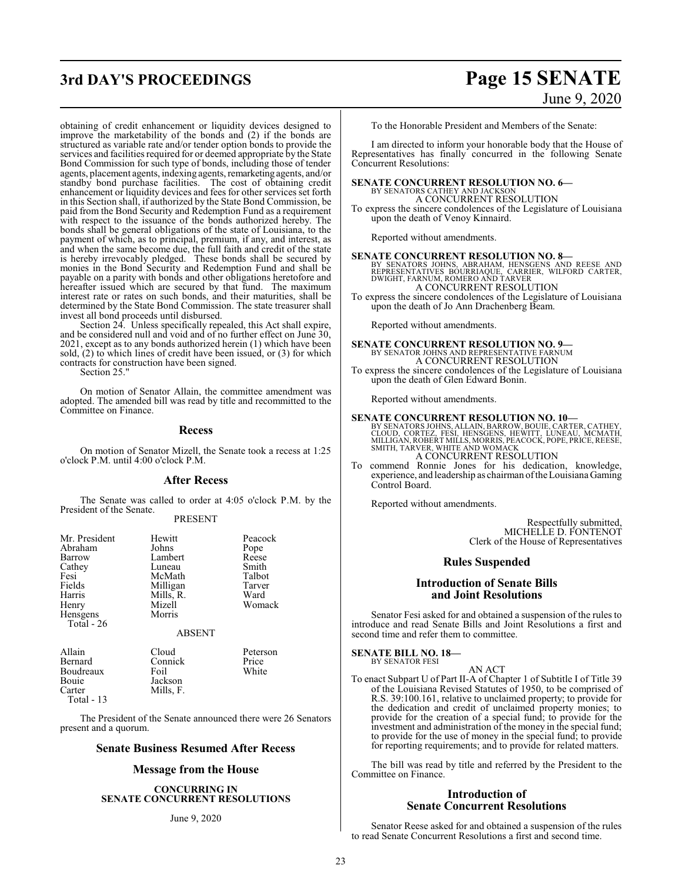obtaining of credit enhancement or liquidity devices designed to improve the marketability of the bonds and (2) if the bonds are structured as variable rate and/or tender option bonds to provide the services and facilities required for or deemed appropriate by the State Bond Commission for such type of bonds, including those of tender agents, placement agents, indexing agents, remarketing agents, and/or standby bond purchase facilities. The cost of obtaining credit enhancement or liquidity devices and fees for other services set forth in this Section shall, if authorized by the State Bond Commission, be paid from the Bond Security and Redemption Fund as a requirement with respect to the issuance of the bonds authorized hereby. The bonds shall be general obligations of the state of Louisiana, to the payment of which, as to principal, premium, if any, and interest, as and when the same become due, the full faith and credit of the state is hereby irrevocably pledged. These bonds shall be secured by monies in the Bond Security and Redemption Fund and shall be payable on a parity with bonds and other obligations heretofore and hereafter issued which are secured by that fund. The maximum interest rate or rates on such bonds, and their maturities, shall be determined by the State Bond Commission. The state treasurer shall invest all bond proceeds until disbursed.

Section 24. Unless specifically repealed, this Act shall expire, and be considered null and void and of no further effect on June 30, 2021, except as to any bonds authorized herein (1) which have been sold, (2) to which lines of credit have been issued, or (3) for which contracts for construction have been signed.

Section 25."

On motion of Senator Allain, the committee amendment was adopted. The amended bill was read by title and recommitted to the Committee on Finance.

### **Recess**

On motion of Senator Mizell, the Senate took a recess at 1:25 o'clock P.M. until 4:00 o'clock P.M.

### **After Recess**

The Senate was called to order at 4:05 o'clock P.M. by the President of the Senate.

### PRESENT

| Mr. President                                       | Hewitt                                    | Peacock                  |
|-----------------------------------------------------|-------------------------------------------|--------------------------|
| Abraham                                             | Johns                                     | Pope                     |
| Barrow                                              | Lambert                                   | Reese                    |
| Cathey                                              | Luneau                                    | Smith                    |
| Fesi                                                | McMath                                    | Talbot                   |
| Fields<br>Harris<br>Henry<br>Hensgens<br>Total - 26 | Milligan<br>Mills, R.<br>Mizell<br>Morris | Tarver<br>Ward<br>Womack |
|                                                     | <b>ABSENT</b>                             |                          |
| Allain                                              | Cloud                                     | Peterson                 |
| <b>Darnord</b>                                      | Conniab                                   | Dirichlet                |

| Allain     | <b>Cloud</b> | <b>reterson</b> |
|------------|--------------|-----------------|
| Bernard    | Connick      | Price           |
| Boudreaux  | Foil         | White           |
| Bouie      | Jackson      |                 |
| Carter     | Mills. F.    |                 |
| Total - 13 |              |                 |
|            |              |                 |

The President of the Senate announced there were 26 Senators present and a quorum.

### **Senate Business Resumed After Recess**

### **Message from the House**

**CONCURRING IN SENATE CONCURRENT RESOLUTIONS**

### June 9, 2020

To the Honorable President and Members of the Senate:

I am directed to inform your honorable body that the House of Representatives has finally concurred in the following Senate Concurrent Resolutions:

# **SENATE CONCURRENT RESOLUTION NO. 6—** BY SENATORS CATHEY AND JACKSON

A CONCURRENT RESOLUTION

To express the sincere condolences of the Legislature of Louisiana upon the death of Venoy Kinnaird.

Reported without amendments.

# **SENATE CONCURRENT RESOLUTION NO. 8—**<br>
BY SENATORS JOHNS, ABRAHAM, HENSGENS AND REESE AND<br>
REPRESENTATIVES BOURRIAQUE, CARRIER, WILFORD CARTER,<br>
DWIGHT, FARNUM, ROMERO AND TARVER

- A CONCURRENT RESOLUTION To express the sincere condolences of the Legislature of Louisiana
- upon the death of Jo Ann Drachenberg Beam.

Reported without amendments.

## **SENATE CONCURRENT RESOLUTION NO. 9—** BY SENATOR JOHNS AND REPRESENTATIVE FARNUM A CONCURRENT RESOLUTION

To express the sincere condolences of the Legislature of Louisiana upon the death of Glen Edward Bonin.

Reported without amendments.

## **SENATE CONCURRENT RESOLUTION NO. 10—**

BY SENATORS JOHNS, ALLAIN, BARROW, BOUIE, CARTER, CATHEY,<br>CLOUD, CORTEZ, FESI, HENSGENS, HEWITT, LUNEAU, MCMATH,<br>MILLIGAN, ROBERT MILLS, MORRIS, PEACOCK, POPE, PRICE, REESE,<br>SMITH, TARVER, WHITE AND WOMACK A CONCURRENT RESOLUTION

To commend Ronnie Jones for his dedication, knowledge, experience, and leadership as chairman oftheLouisiana Gaming Control Board.

Reported without amendments.

Respectfully submitted, MICHELLE D. FONTENOT Clerk of the House of Representatives

### **Rules Suspended**

### **Introduction of Senate Bills and Joint Resolutions**

Senator Fesi asked for and obtained a suspension of the rules to introduce and read Senate Bills and Joint Resolutions a first and second time and refer them to committee.

### **SENATE BILL NO. 18—** BY SENATOR FESI

AN ACT To enact Subpart U of Part II-A of Chapter 1 of Subtitle I of Title 39 of the Louisiana Revised Statutes of 1950, to be comprised of R.S. 39:100.161, relative to unclaimed property; to provide for the dedication and credit of unclaimed property monies; to provide for the creation of a special fund; to provide for the investment and administration of the money in the special fund; to provide for the use of money in the special fund; to provide for reporting requirements; and to provide for related matters.

The bill was read by title and referred by the President to the Committee on Finance.

### **Introduction of Senate Concurrent Resolutions**

Senator Reese asked for and obtained a suspension of the rules to read Senate Concurrent Resolutions a first and second time.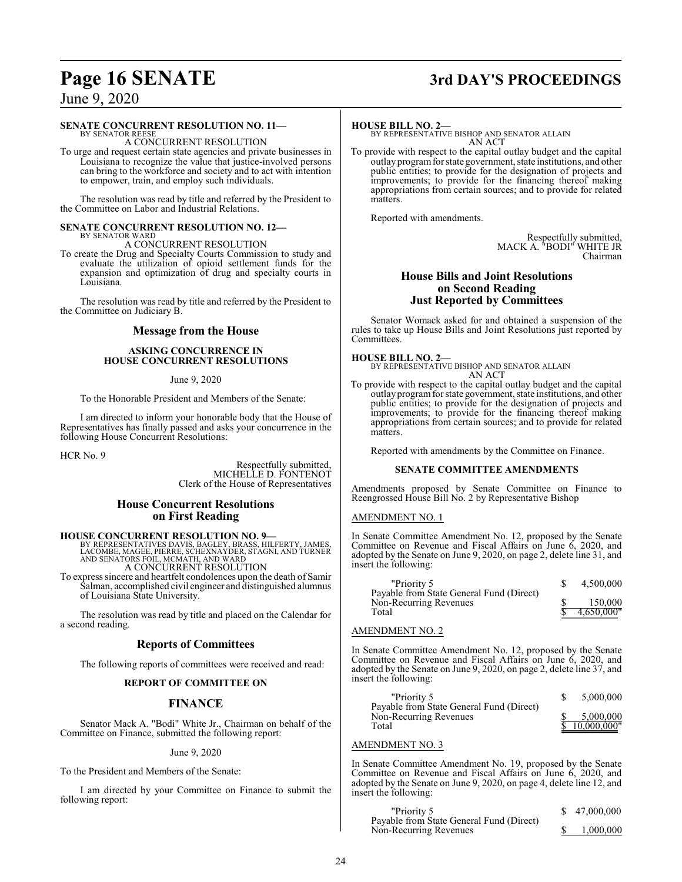## **Page 16 SENATE 3rd DAY'S PROCEEDINGS**

## June 9, 2020

### **SENATE CONCURRENT RESOLUTION NO. 11—**

BY SENATOR REESE A CONCURRENT RESOLUTION

To urge and request certain state agencies and private businesses in Louisiana to recognize the value that justice-involved persons can bring to the workforce and society and to act with intention to empower, train, and employ such individuals.

The resolution was read by title and referred by the President to the Committee on Labor and Industrial Relations.

### **SENATE CONCURRENT RESOLUTION NO. 12—** BY SENATOR WARD

A CONCURRENT RESOLUTION

To create the Drug and Specialty Courts Commission to study and evaluate the utilization of opioid settlement funds for the expansion and optimization of drug and specialty courts in Louisiana.

The resolution was read by title and referred by the President to the Committee on Judiciary B.

### **Message from the House**

### **ASKING CONCURRENCE IN HOUSE CONCURRENT RESOLUTIONS**

### June 9, 2020

To the Honorable President and Members of the Senate:

I am directed to inform your honorable body that the House of Representatives has finally passed and asks your concurrence in the following House Concurrent Resolutions:

HCR No. 9

Respectfully submitted, MICHELLE D. FONTENOT Clerk of the House of Representatives

### **House Concurrent Resolutions on First Reading**

**HOUSE CONCURRENT RESOLUTION NO. 9**<br>BY REPRESENTATIVES DAVIS, BAGLEY, BRASS, HILFERTY, JAMES,<br>LACOMBE, MAGEE, PIERRE, SCHEXNAYDER, STAGNI, AND TURNER<br>AND SENATORS FOIL, MCMATH, AND WARD A CONCURRENT RESOLUTION

To express sincere and heartfelt condolences upon the death of Samir Salman, accomplished civil engineer and distinguished alumnus of Louisiana State University.

The resolution was read by title and placed on the Calendar for a second reading.

### **Reports of Committees**

The following reports of committees were received and read:

### **REPORT OF COMMITTEE ON**

### **FINANCE**

Senator Mack A. "Bodi" White Jr., Chairman on behalf of the Committee on Finance, submitted the following report:

### June 9, 2020

To the President and Members of the Senate:

I am directed by your Committee on Finance to submit the following report:

### **HOUSE BILL NO. 2—**

BY REPRESENTATIVE BISHOP AND SENATOR ALLAIN AN ACT

To provide with respect to the capital outlay budget and the capital outlay programfor state government, state institutions, and other public entities; to provide for the designation of projects and improvements; to provide for the financing thereof making appropriations from certain sources; and to provide for related matters.

Reported with amendments.

Respectfully submitted, MACK A. "BODI" WHITE JR Chairman

### **House Bills and Joint Resolutions on Second Reading Just Reported by Committees**

Senator Womack asked for and obtained a suspension of the rules to take up House Bills and Joint Resolutions just reported by Committees.

### **HOUSE BILL NO. 2—**

BY REPRESENTATIVE BISHOP AND SENATOR ALLAIN AN ACT

To provide with respect to the capital outlay budget and the capital outlayprogramfor state government, state institutions, and other public entities; to provide for the designation of projects and improvements; to provide for the financing thereof making appropriations from certain sources; and to provide for related matters.

Reported with amendments by the Committee on Finance.

### **SENATE COMMITTEE AMENDMENTS**

Amendments proposed by Senate Committee on Finance to Reengrossed House Bill No. 2 by Representative Bishop

### AMENDMENT NO. 1

In Senate Committee Amendment No. 12, proposed by the Senate Committee on Revenue and Fiscal Affairs on June 6, 2020, and adopted by the Senate on June 9, 2020, on page 2, delete line 31, and insert the following:

| "Priority 5                              | 4.500,000  |
|------------------------------------------|------------|
| Payable from State General Fund (Direct) |            |
| Non-Recurring Revenues                   | 150,000    |
| Total                                    | 4.650.000" |

### AMENDMENT NO. 2

In Senate Committee Amendment No. 12, proposed by the Senate Committee on Revenue and Fiscal Affairs on June 6, 2020, and adopted by the Senate on June 9, 2020, on page 2, delete line 37, and insert the following:

| "Priority 5                              | 5,000,000     |
|------------------------------------------|---------------|
| Payable from State General Fund (Direct) |               |
| Non-Recurring Revenues                   | 5,000,000     |
| Total                                    | \$10,000,000" |

### AMENDMENT NO. 3

In Senate Committee Amendment No. 19, proposed by the Senate Committee on Revenue and Fiscal Affairs on June 6, 2020, and adopted by the Senate on June 9, 2020, on page 4, delete line 12, and insert the following:

| "Priority 5                              | \$47,000,000 |
|------------------------------------------|--------------|
| Payable from State General Fund (Direct) |              |
| Non-Recurring Revenues                   | 1.000.000    |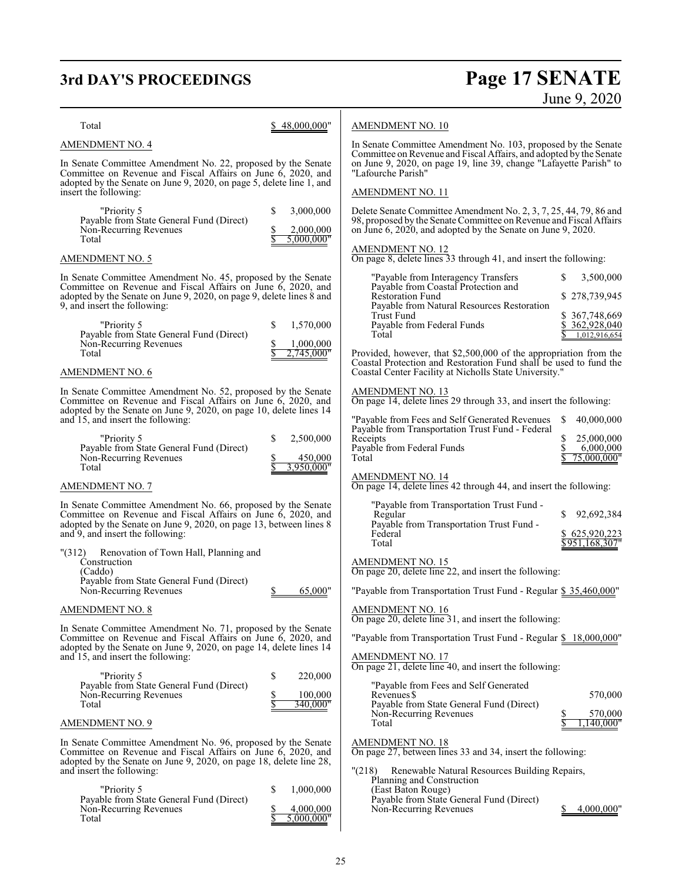# **3rd DAY'S PROCEEDINGS**

# **Page 17 SENATE**<br>June 9, 2020

| Total                                                                                                                                                                                              | \$48,000,000"                              | <b>AMENDMENT NO. 10</b>                                                                                                                |                              |
|----------------------------------------------------------------------------------------------------------------------------------------------------------------------------------------------------|--------------------------------------------|----------------------------------------------------------------------------------------------------------------------------------------|------------------------------|
| AMENDMENT NO. 4                                                                                                                                                                                    |                                            | In Senate Committee Amendment No. 103, proposed by the Senate<br>Committee on Revenue and Fiscal Affairs, and adopted by the Senate    |                              |
| In Senate Committee Amendment No. 22, proposed by the Senate<br>Committee on Revenue and Fiscal Affairs on June 6, 2020, and                                                                       |                                            | on June 9, 2020, on page 19, line 39, change "Lafayette Parish" to<br>"Lafourche Parish"                                               |                              |
| adopted by the Senate on June 9, 2020, on page 5, delete line 1, and<br>insert the following:                                                                                                      |                                            | AMENDMENT NO. 11                                                                                                                       |                              |
| "Priority 5                                                                                                                                                                                        | \$<br>3,000,000                            | Delete Senate Committee Amendment No. 2, 3, 7, 25, 44, 79, 86 and                                                                      |                              |
| Payable from State General Fund (Direct)<br>Non-Recurring Revenues<br>Total                                                                                                                        | 2,000,000<br>5,000,000"                    | 98, proposed by the Senate Committee on Revenue and Fiscal Affairs<br>on June 6, 2020, and adopted by the Senate on June 9, 2020.      |                              |
| AMENDMENT NO. 5                                                                                                                                                                                    |                                            | <b>AMENDMENT NO. 12</b><br>On page 8, delete lines 33 through 41, and insert the following:                                            |                              |
| In Senate Committee Amendment No. 45, proposed by the Senate<br>Committee on Revenue and Fiscal Affairs on June 6, 2020, and                                                                       |                                            | "Payable from Interagency Transfers<br>Payable from Coastal Protection and                                                             | S<br>3,500,000               |
| adopted by the Senate on June 9, 2020, on page 9, delete lines 8 and<br>9, and insert the following:                                                                                               |                                            | <b>Restoration Fund</b><br>Payable from Natural Resources Restoration                                                                  | \$278,739,945                |
| "Priority 5                                                                                                                                                                                        | 1,570,000<br>\$                            | Trust Fund<br>Payable from Federal Funds                                                                                               | \$367,748,669<br>362,928,040 |
| Payable from State General Fund (Direct)<br>Non-Recurring Revenues                                                                                                                                 | 1,000,000                                  | Total                                                                                                                                  | 1,012,916,654                |
| Total                                                                                                                                                                                              | 2,745,000"                                 | Provided, however, that \$2,500,000 of the appropriation from the<br>Coastal Protection and Restoration Fund shall be used to fund the |                              |
| AMENDMENT NO. 6                                                                                                                                                                                    |                                            | Coastal Center Facility at Nicholls State University."                                                                                 |                              |
| In Senate Committee Amendment No. 52, proposed by the Senate<br>Committee on Revenue and Fiscal Affairs on June 6, 2020, and<br>adopted by the Senate on June 9, 2020, on page 10, delete lines 14 |                                            | <b>AMENDMENT NO. 13</b><br>On page 14, delete lines 29 through 33, and insert the following:                                           |                              |
| and 15, and insert the following:                                                                                                                                                                  |                                            | "Payable from Fees and Self Generated Revenues<br>Payable from Transportation Trust Fund - Federal                                     | 40,000,000<br>S              |
| "Priority 5<br>Payable from State General Fund (Direct)                                                                                                                                            | 2,500,000<br>S                             | Receipts<br>Payable from Federal Funds                                                                                                 | 25,000,000<br>6,000,000      |
| Non-Recurring Revenues<br>Total                                                                                                                                                                    | 450,000<br>3,950,000"                      | Total                                                                                                                                  | 75,000,000"                  |
| AMENDMENT NO. 7                                                                                                                                                                                    |                                            | <b>AMENDMENT NO. 14</b><br>On page 14, delete lines 42 through 44, and insert the following:                                           |                              |
| In Senate Committee Amendment No. 66, proposed by the Senate<br>Committee on Revenue and Fiscal Affairs on June 6, 2020, and                                                                       |                                            | "Payable from Transportation Trust Fund -<br>Regular                                                                                   | S.<br>92,692,384             |
| adopted by the Senate on June 9, 2020, on page 13, between lines 8<br>and 9, and insert the following:                                                                                             |                                            | Payable from Transportation Trust Fund -<br>Federal                                                                                    | \$625,920,223                |
| "(312) Renovation of Town Hall, Planning and                                                                                                                                                       |                                            | Total                                                                                                                                  | <u>\$951,168,307"</u>        |
| Construction<br>(Caddo)                                                                                                                                                                            |                                            | <b>AMENDMENT NO. 15</b><br>On page 20, delete line 22, and insert the following:                                                       |                              |
| Payable from State General Fund (Direct)<br>Non-Recurring Revenues                                                                                                                                 | 65,000"                                    | "Payable from Transportation Trust Fund - Regular \$ 35,460,000"                                                                       |                              |
| <b>AMENDMENT NO. 8</b>                                                                                                                                                                             |                                            | AMENDMENT NO. 16<br>On page 20, delete line 31, and insert the following:                                                              |                              |
| In Senate Committee Amendment No. 71, proposed by the Senate<br>Committee on Revenue and Fiscal Affairs on June 6, 2020, and                                                                       |                                            | "Payable from Transportation Trust Fund - Regular \$ 18,000,000"                                                                       |                              |
| adopted by the Senate on June 9, 2020, on page 14, delete lines 14<br>and 15, and insert the following:                                                                                            |                                            | AMENDMENT NO. 17                                                                                                                       |                              |
| "Priority 5                                                                                                                                                                                        | \$<br>220,000                              | On page 21, delete line 40, and insert the following:                                                                                  |                              |
| Payable from State General Fund (Direct)<br>Non-Recurring Revenues                                                                                                                                 | 100,000                                    | "Payable from Fees and Self Generated<br>Revenues \$                                                                                   | 570,000                      |
| Total                                                                                                                                                                                              | 340.000"                                   | Payable from State General Fund (Direct)<br>Non-Recurring Revenues                                                                     | 570,000                      |
| AMENDMENT NO. 9                                                                                                                                                                                    |                                            | Total                                                                                                                                  | .140.000"                    |
| In Senate Committee Amendment No. 96, proposed by the Senate<br>Committee on Revenue and Fiscal Affairs on June 6, 2020, and<br>adopted by the Senate on June 9, 2020, on page 18, delete line 28, |                                            | <b>AMENDMENT NO. 18</b><br>On page 27, between lines 33 and 34, insert the following:                                                  |                              |
| and insert the following:                                                                                                                                                                          |                                            | "(218)<br>Renewable Natural Resources Building Repairs,<br>Planning and Construction                                                   |                              |
| "Priority 5<br>Payable from State General Fund (Direct)<br>Non-Recurring Revenues<br>Total                                                                                                         | \$<br>1,000,000<br>4,000,000<br>5,000,000" | (East Baton Rouge)<br>Payable from State General Fund (Direct)<br>Non-Recurring Revenues                                               | 4,000,000"                   |
|                                                                                                                                                                                                    |                                            |                                                                                                                                        |                              |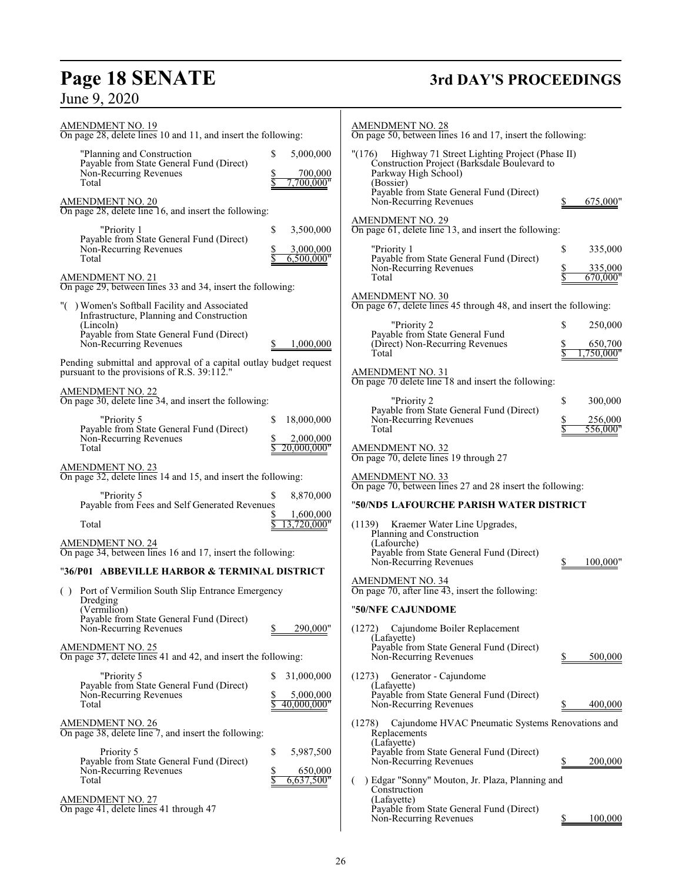# **Page 18 SENATE**<br>June 9, 2020

# **3rd DAY'S PROCEEDINGS**

| <b>AMENDMENT NO. 19</b><br>On page 28, delete lines 10 and 11, and insert the following:                                                                       | <b>AMENDMENT NO. 28</b><br>On page 50, between lines 16 and 17, insert the following:                                                                                                    |
|----------------------------------------------------------------------------------------------------------------------------------------------------------------|------------------------------------------------------------------------------------------------------------------------------------------------------------------------------------------|
| 5,000,000<br>"Planning and Construction<br>\$<br>Payable from State General Fund (Direct)<br>Non-Recurring Revenues<br>700,000<br>\$<br>Total<br>.700.000"     | "(176)<br>Highway 71 Street Lighting Project (Phase II)<br>Construction Project (Barksdale Boulevard to<br>Parkway High School)<br>(Bossier)<br>Payable from State General Fund (Direct) |
| <b>AMENDMENT NO. 20</b><br>On page 28, delete line 16, and insert the following:<br>"Priority 1<br>\$<br>3,500,000                                             | Non-Recurring Revenues<br>675,000"<br><b>AMENDMENT NO. 29</b><br>On page 61, delete line 13, and insert the following:                                                                   |
| Payable from State General Fund (Direct)<br>Non-Recurring Revenues<br>3,000,000<br>6,500,000"<br>Total                                                         | "Priority 1<br>\$<br>335,000<br>Payable from State General Fund (Direct)                                                                                                                 |
| <b>AMENDMENT NO. 21</b><br>On page 29, between lines 33 and 34, insert the following:                                                                          | Non-Recurring Revenues<br>335,000<br>Total<br>670,000"                                                                                                                                   |
| "() Women's Softball Facility and Associated<br>Infrastructure, Planning and Construction<br>(Lincoln)                                                         | AMENDMENT NO. 30<br>On page 67, delete lines 45 through 48, and insert the following:<br>"Priority 2<br>S<br>250,000                                                                     |
| Payable from State General Fund (Direct)<br>Non-Recurring Revenues<br>1.000.000                                                                                | Payable from State General Fund<br>(Direct) Non-Recurring Revenues<br>650,700<br>.750,000"<br>Total                                                                                      |
| Pending submittal and approval of a capital outlay budget request<br>pursuant to the provisions of R.S. 39:112."                                               | <b>AMENDMENT NO. 31</b><br>On page 70 delete line 18 and insert the following:                                                                                                           |
| <b>AMENDMENT NO. 22</b><br>On page 30, delete line 34, and insert the following:<br>"Priority 5<br>18,000,000<br>S<br>Payable from State General Fund (Direct) | "Priority 2<br>\$<br>300,000<br>Payable from State General Fund (Direct)<br>Non-Recurring Revenues<br>256,000<br>Total                                                                   |
| Non-Recurring Revenues<br>2,000,000<br>Total<br>20,000,000"                                                                                                    | AMENDMENT NO. 32<br>On page 70, delete lines 19 through 27                                                                                                                               |
| <b>AMENDMENT NO. 23</b><br>On page 32, delete lines 14 and 15, and insert the following:                                                                       | <b>AMENDMENT NO. 33</b><br>On page 70, between lines 27 and 28 insert the following:                                                                                                     |
| "Priority 5<br>8,870,000<br>Payable from Fees and Self Generated Revenues<br>1,600,000                                                                         | "50/ND5 LAFOURCHE PARISH WATER DISTRICT                                                                                                                                                  |
| 13,720,000"<br>Total                                                                                                                                           | (1139) Kraemer Water Line Upgrades,                                                                                                                                                      |
| <b>AMENDMENT NO. 24</b><br>On page 34, between lines 16 and 17, insert the following:                                                                          | Planning and Construction<br>(Lafourche)<br>Payable from State General Fund (Direct)<br>Non-Recurring Revenues<br>100,000"                                                               |
| "36/P01 ABBEVILLE HARBOR & TERMINAL DISTRICT                                                                                                                   |                                                                                                                                                                                          |
| Port of Vermilion South Slip Entrance Emergency<br>( )<br>Dredging                                                                                             | <b>AMENDMENT NO. 34</b><br>On page $70$ , after line $43$ , insert the following:                                                                                                        |
| (Vermilion)<br>Payable from State General Fund (Direct)<br>290,000"<br>Non-Recurring Revenues                                                                  | "50/NFE CAJUNDOME<br>Cajundome Boiler Replacement<br>(1272)                                                                                                                              |
| <b>AMENDMENT NO. 25</b><br>On page 37, delete lines 41 and 42, and insert the following:                                                                       | (Lafayette)<br>Payable from State General Fund (Direct)<br>Non-Recurring Revenues<br>500,000                                                                                             |
| "Priority 5<br>31,000,000<br>S<br>Payable from State General Fund (Direct)<br>Non-Recurring Revenues<br>5,000,000<br>40,000,000"<br>Total                      | Generator - Cajundome<br>(1273)<br>(Lafayette)<br>Payable from State General Fund (Direct)<br>Non-Recurring Revenues<br>400,000                                                          |
| <b>AMENDMENT NO. 26</b><br>On page 38, delete line 7, and insert the following:                                                                                | Cajundome HVAC Pneumatic Systems Renovations and<br>(1278)<br>Replacements                                                                                                               |
| Priority 5<br>\$<br>5,987,500<br>Payable from State General Fund (Direct)<br>Non-Recurring Revenues<br>650,000<br>\$<br>Total<br>6,637,500"                    | (Lafayette)<br>Payable from State General Fund (Direct)<br>Non-Recurring Revenues<br>200,000<br>) Edgar "Sonny" Mouton, Jr. Plaza, Planning and                                          |
| <b>AMENDMENT NO. 27</b><br>On page 41, delete lines 41 through 47                                                                                              | Construction<br>(Lafayette)<br>Payable from State General Fund (Direct)<br>Non-Recurring Revenues<br>100,000                                                                             |
|                                                                                                                                                                |                                                                                                                                                                                          |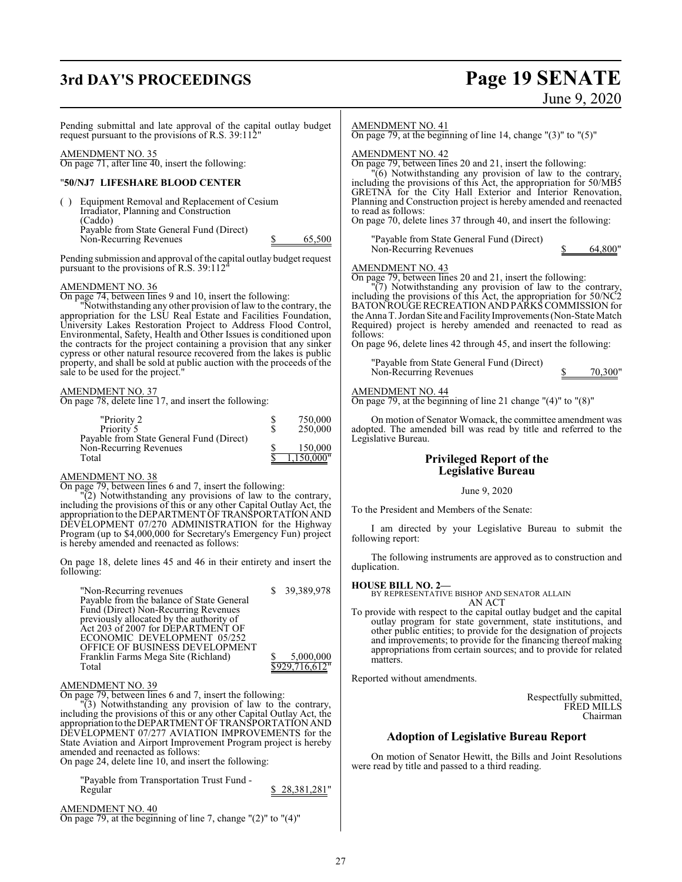## **3rd DAY'S PROCEEDINGS Page 19 SENATE**

# June 9, 2020

Pending submittal and late approval of the capital outlay budget request pursuant to the provisions of R.S. 39:112"

### AMENDMENT NO. 35

On page 71, after line 40, insert the following:

### "**50/NJ7 LIFESHARE BLOOD CENTER**

( ) Equipment Removal and Replacement of Cesium Irradiator, Planning and Construction (Caddo) Payable from State General Fund (Direct) Non-Recurring Revenues \$ 65,500

Pending submission and approval of the capital outlay budget request pursuant to the provisions of R.S. 39:112"

### AMENDMENT NO. 36

On page 74, between lines 9 and 10, insert the following:

"Notwithstanding any other provision of law to the contrary, the appropriation for the LSU Real Estate and Facilities Foundation, University Lakes Restoration Project to Address Flood Control, Environmental, Safety, Health and Other Issues is conditioned upon the contracts for the project containing a provision that any sinker cypress or other natural resource recovered from the lakes is public property, and shall be sold at public auction with the proceeds of the sale to be used for the project."

### AMENDMENT NO. 37

On page 78, delete line 17, and insert the following:

| "Priority 2                              | 750,000    |
|------------------------------------------|------------|
| Priority 5                               | 250,000    |
| Payable from State General Fund (Direct) |            |
| Non-Recurring Revenues                   | 150,000    |
| Total                                    | 1,150,000" |

### AMENDMENT NO. 38

On page 79, between lines 6 and 7, insert the following:

"(2) Notwithstanding any provisions of law to the contrary, including the provisions of this or any other Capital Outlay Act, the appropriation to the DEPARTMENTOFTRANSPORTATIONAND DEVELOPMENT 07/270 ADMINISTRATION for the Highway Program (up to \$4,000,000 for Secretary's Emergency Fun) project is hereby amended and reenacted as follows:

On page 18, delete lines 45 and 46 in their entirety and insert the following:

| "Non-Recurring revenues"                  | \$ 39,389,978  |
|-------------------------------------------|----------------|
| Payable from the balance of State General |                |
| Fund (Direct) Non-Recurring Revenues      |                |
| previously allocated by the authority of  |                |
| Act 203 of 2007 for DEPARTMENT OF         |                |
| ECONOMIC DEVELOPMENT 05/252               |                |
| OFFICE OF BUSINESS DEVELOPMENT            |                |
| Franklin Farms Mega Site (Richland)       | 5,000,000      |
| Total                                     | \$929,716,612" |

### AMENDMENT NO. 39

On page 79, between lines 6 and 7, insert the following:

"(3) Notwithstanding any provision of law to the contrary, including the provisions of this or any other Capital Outlay Act, the appropriation to theDEPARTMENTOF TRANSPORTATION AND DEVELOPMENT 07/277 AVIATION IMPROVEMENTS for the State Aviation and Airport Improvement Program project is hereby amended and reenacted as follows:

On page 24, delete line 10, and insert the following:

"Payable from Transportation Trust Fund - 28,381,281"

AMENDMENT NO. 40 On page 79, at the beginning of line 7, change "(2)" to "(4)"

### AMENDMENT NO. 41

On page 79, at the beginning of line 14, change  $"$ (3)" to  $"$ (5)"

### AMENDMENT NO. 42

On page 79, between lines 20 and 21, insert the following:

"(6) Notwithstanding any provision of law to the contrary, including the provisions of this Act, the appropriation for 50/MB5 GRETNA for the City Hall Exterior and Interior Renovation, Planning and Construction project is hereby amended and reenacted to read as follows:

On page 70, delete lines 37 through 40, and insert the following:

"Payable from State General Fund (Direct) Non-Recurring Revenues \$ 64,800"

### AMENDMENT NO. 43

On page 79, between lines 20 and 21, insert the following:

"(7) Notwithstanding any provision of law to the contrary, including the provisions of this Act, the appropriation for 50/NC2 BATON ROUGE RECREATION AND PARKS COMMISSION for the Anna T. Jordan Site and FacilityImprovements (Non-State Match Required) project is hereby amended and reenacted to read as follows:

On page 96, delete lines 42 through 45, and insert the following:

"Payable from State General Fund (Direct) Non-Recurring Revenues \$ 70,300"

### AMENDMENT NO. 44

On page 79, at the beginning of line 21 change "(4)" to "(8)"

On motion of Senator Womack, the committee amendment was adopted. The amended bill was read by title and referred to the Legislative Bureau.

### **Privileged Report of the Legislative Bureau**

### June 9, 2020

To the President and Members of the Senate:

I am directed by your Legislative Bureau to submit the following report:

The following instruments are approved as to construction and duplication.

**HOUSE BILL NO. 2—** BY REPRESENTATIVE BISHOP AND SENATOR ALLAIN AN ACT

To provide with respect to the capital outlay budget and the capital outlay program for state government, state institutions, and other public entities; to provide for the designation of projects and improvements; to provide for the financing thereof making appropriations from certain sources; and to provide for related matters.

Reported without amendments.

Respectfully submitted, FRED MILLS Chairman

### **Adoption of Legislative Bureau Report**

On motion of Senator Hewitt, the Bills and Joint Resolutions were read by title and passed to a third reading.